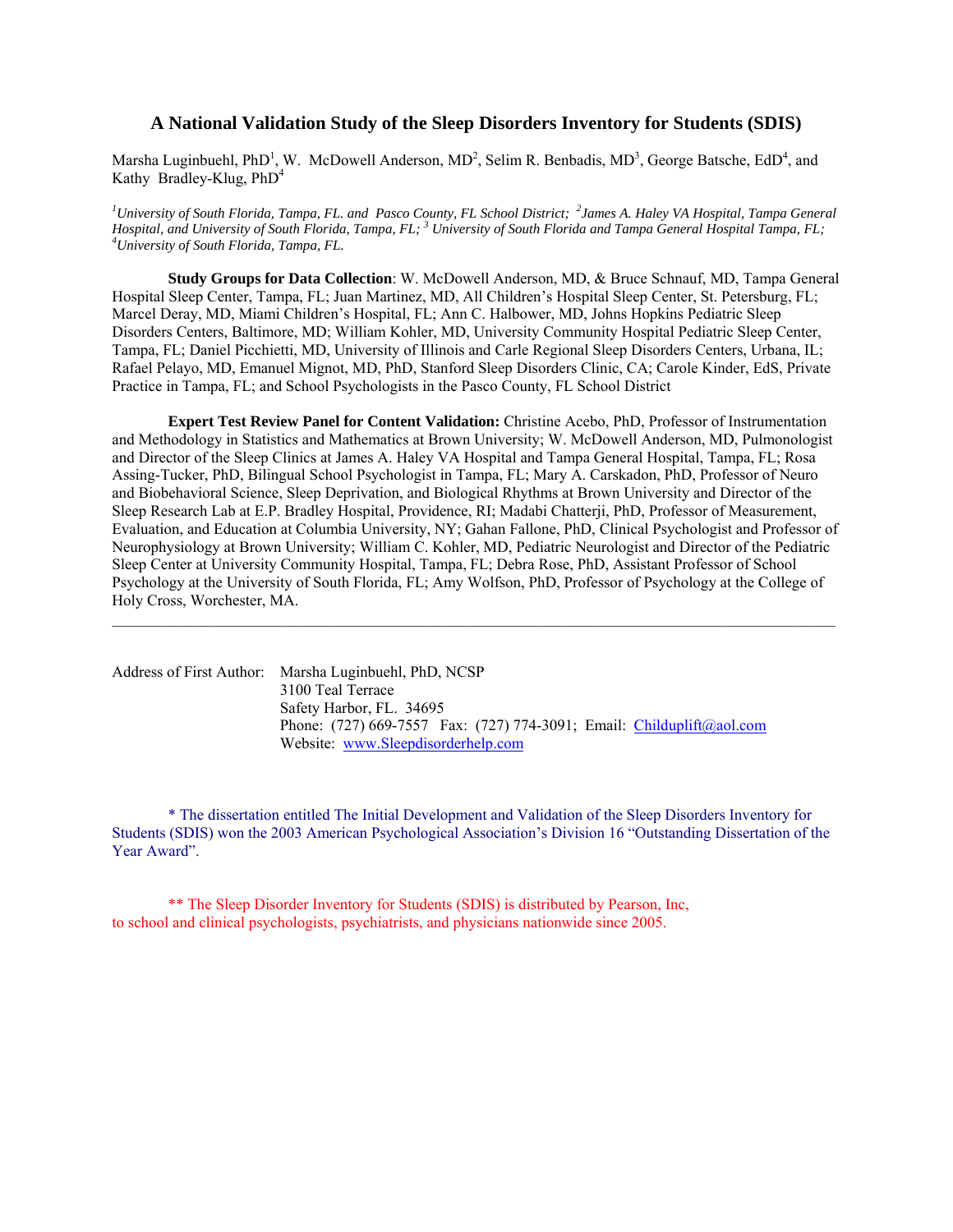# **A National Validation Study of the Sleep Disorders Inventory for Students (SDIS)**

Marsha Luginbuehl, PhD<sup>1</sup>, W. McDowell Anderson,  $MD^2$ , Selim R. Benbadis,  $MD^3$ , George Batsche, EdD<sup>4</sup>, and Kathy Bradley-Klug, PhD<sup>4</sup>

*1 University of South Florida, Tampa, FL. and Pasco County, FL School District; <sup>2</sup> James A. Haley VA Hospital, Tampa General Hospital, and University of South Florida, Tampa, FL; <sup>3</sup> University of South Florida and Tampa General Hospital Tampa, FL;<br><sup>4</sup>University of South Florida, Tampa, FL University of South Florida, Tampa, FL.* 

**Study Groups for Data Collection**: W. McDowell Anderson, MD, & Bruce Schnauf, MD, Tampa General Hospital Sleep Center, Tampa, FL; Juan Martinez, MD, All Children's Hospital Sleep Center, St. Petersburg, FL; Marcel Deray, MD, Miami Children's Hospital, FL; Ann C. Halbower, MD, Johns Hopkins Pediatric Sleep Disorders Centers, Baltimore, MD; William Kohler, MD, University Community Hospital Pediatric Sleep Center, Tampa, FL; Daniel Picchietti, MD, University of Illinois and Carle Regional Sleep Disorders Centers, Urbana, IL; Rafael Pelayo, MD, Emanuel Mignot, MD, PhD, Stanford Sleep Disorders Clinic, CA; Carole Kinder, EdS, Private Practice in Tampa, FL; and School Psychologists in the Pasco County, FL School District

 **Expert Test Review Panel for Content Validation:** Christine Acebo, PhD, Professor of Instrumentation and Methodology in Statistics and Mathematics at Brown University; W. McDowell Anderson, MD, Pulmonologist and Director of the Sleep Clinics at James A. Haley VA Hospital and Tampa General Hospital, Tampa, FL; Rosa Assing-Tucker, PhD, Bilingual School Psychologist in Tampa, FL; Mary A. Carskadon, PhD, Professor of Neuro and Biobehavioral Science, Sleep Deprivation, and Biological Rhythms at Brown University and Director of the Sleep Research Lab at E.P. Bradley Hospital, Providence, RI; Madabi Chatterji, PhD, Professor of Measurement, Evaluation, and Education at Columbia University, NY; Gahan Fallone, PhD, Clinical Psychologist and Professor of Neurophysiology at Brown University; William C. Kohler, MD, Pediatric Neurologist and Director of the Pediatric Sleep Center at University Community Hospital, Tampa, FL; Debra Rose, PhD, Assistant Professor of School Psychology at the University of South Florida, FL; Amy Wolfson, PhD, Professor of Psychology at the College of Holy Cross, Worchester, MA.

 $\_$  , and the state of the state of the state of the state of the state of the state of the state of the state of the state of the state of the state of the state of the state of the state of the state of the state of the

| Address of First Author: Marsha Luginbuehl, PhD, NCSP                     |
|---------------------------------------------------------------------------|
| 3100 Teal Terrace                                                         |
| Safety Harbor, FL. 34695                                                  |
| Phone: $(727)$ 669-7557 Fax: $(727)$ 774-3091; Email: Childuplift@aol.com |
| Website: www.Sleepdisorderhelp.com                                        |

\* The dissertation entitled The Initial Development and Validation of the Sleep Disorders Inventory for Students (SDIS) won the 2003 American Psychological Association's Division 16 "Outstanding Dissertation of the Year Award".

 \*\* The Sleep Disorder Inventory for Students (SDIS) is distributed by Pearson, Inc, to school and clinical psychologists, psychiatrists, and physicians nationwide since 2005.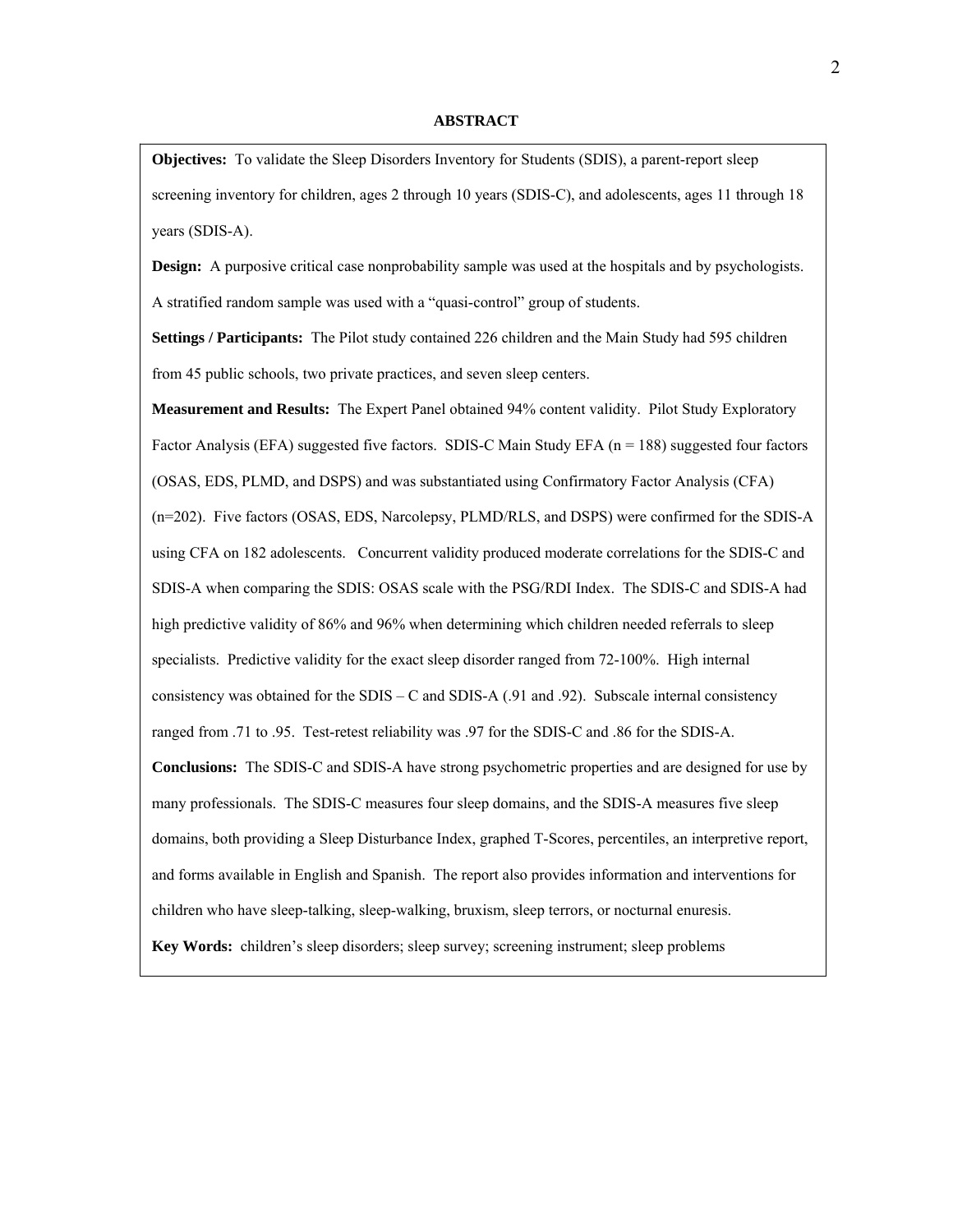### **ABSTRACT**

**Objectives:** To validate the Sleep Disorders Inventory for Students (SDIS), a parent-report sleep screening inventory for children, ages 2 through 10 years (SDIS-C), and adolescents, ages 11 through 18 years (SDIS-A).

**Design:** A purposive critical case nonprobability sample was used at the hospitals and by psychologists. A stratified random sample was used with a "quasi-control" group of students.

**Settings / Participants:** The Pilot study contained 226 children and the Main Study had 595 children from 45 public schools, two private practices, and seven sleep centers.

**Measurement and Results:** The Expert Panel obtained 94% content validity. Pilot Study Exploratory Factor Analysis (EFA) suggested five factors. SDIS-C Main Study EFA ( $n = 188$ ) suggested four factors (OSAS, EDS, PLMD, and DSPS) and was substantiated using Confirmatory Factor Analysis (CFA) (n=202). Five factors (OSAS, EDS, Narcolepsy, PLMD/RLS, and DSPS) were confirmed for the SDIS-A using CFA on 182 adolescents. Concurrent validity produced moderate correlations for the SDIS-C and SDIS-A when comparing the SDIS: OSAS scale with the PSG/RDI Index. The SDIS-C and SDIS-A had high predictive validity of 86% and 96% when determining which children needed referrals to sleep specialists. Predictive validity for the exact sleep disorder ranged from 72-100%. High internal consistency was obtained for the SDIS – C and SDIS-A (.91 and .92). Subscale internal consistency ranged from .71 to .95. Test-retest reliability was .97 for the SDIS-C and .86 for the SDIS-A. **Conclusions:** The SDIS-C and SDIS-A have strong psychometric properties and are designed for use by many professionals. The SDIS-C measures four sleep domains, and the SDIS-A measures five sleep domains, both providing a Sleep Disturbance Index, graphed T-Scores, percentiles, an interpretive report, and forms available in English and Spanish. The report also provides information and interventions for children who have sleep-talking, sleep-walking, bruxism, sleep terrors, or nocturnal enuresis. **Key Words:** children's sleep disorders; sleep survey; screening instrument; sleep problems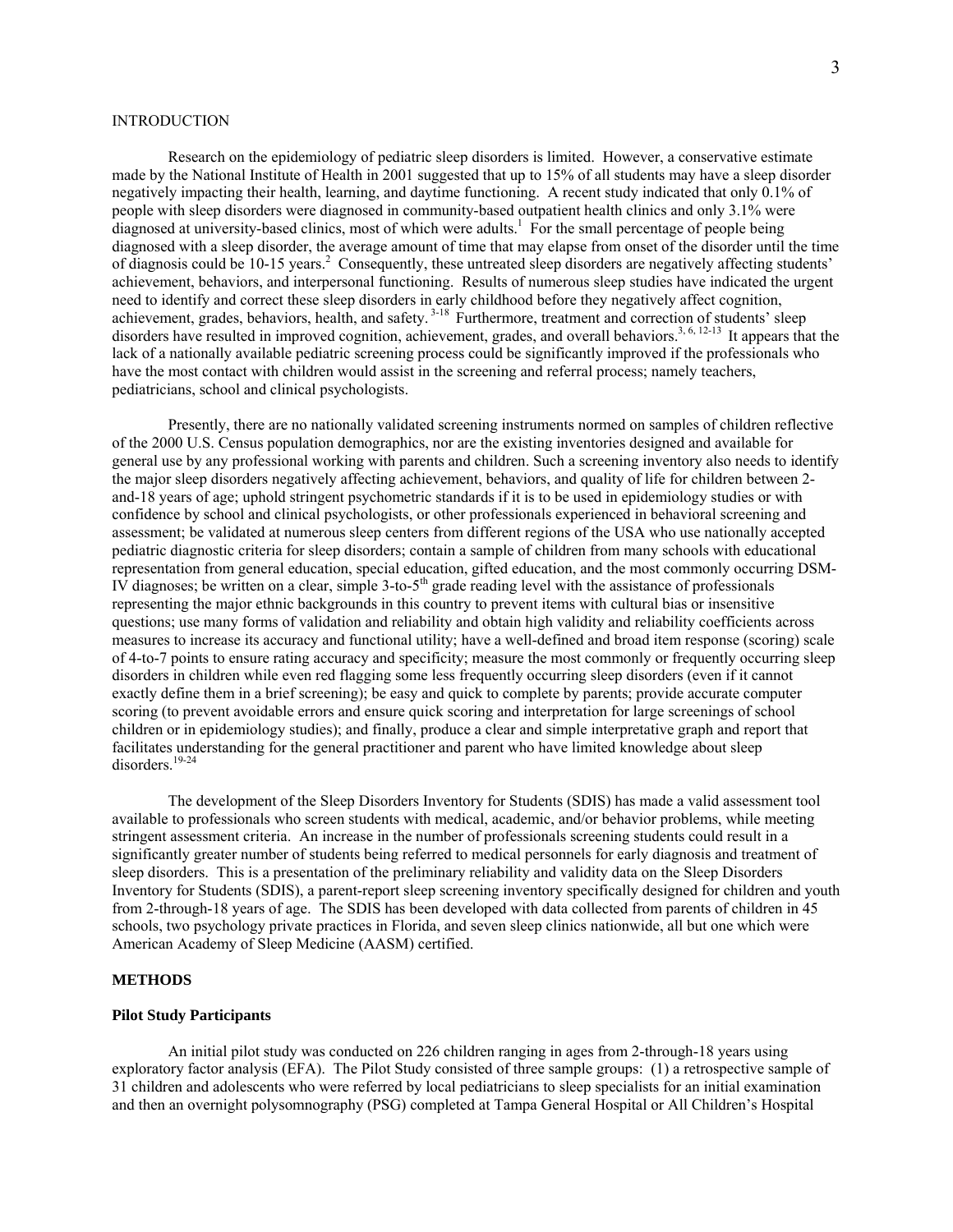## **INTRODUCTION**

 Research on the epidemiology of pediatric sleep disorders is limited. However, a conservative estimate made by the National Institute of Health in 2001 suggested that up to 15% of all students may have a sleep disorder negatively impacting their health, learning, and daytime functioning. A recent study indicated that only 0.1% of people with sleep disorders were diagnosed in community-based outpatient health clinics and only 3.1% were diagnosed at university-based clinics, most of which were adults.<sup>1</sup> For the small percentage of people being diagnosed with a sleep disorder, the average amount of time that may elapse from onset of the disorder until the time of diagnosis could be 10-15 years.<sup>2</sup> Consequently, these untreated sleep disorders are negatively affecting students' achievement, behaviors, and interpersonal functioning. Results of numerous sleep studies have indicated the urgent need to identify and correct these sleep disorders in early childhood before they negatively affect cognition, achievement, grades, behaviors, health, and safety.<sup>3-18</sup> Furthermore, treatment and correction of students' sleep disorders have resulted in improved cognition, achievement, grades, and overall behaviors.<sup>3, 6, 12-13</sup> It appears that the lack of a nationally available pediatric screening process could be significantly improved if the professionals who have the most contact with children would assist in the screening and referral process; namely teachers, pediatricians, school and clinical psychologists.

 Presently, there are no nationally validated screening instruments normed on samples of children reflective of the 2000 U.S. Census population demographics, nor are the existing inventories designed and available for general use by any professional working with parents and children. Such a screening inventory also needs to identify the major sleep disorders negatively affecting achievement, behaviors, and quality of life for children between 2 and-18 years of age; uphold stringent psychometric standards if it is to be used in epidemiology studies or with confidence by school and clinical psychologists, or other professionals experienced in behavioral screening and assessment; be validated at numerous sleep centers from different regions of the USA who use nationally accepted pediatric diagnostic criteria for sleep disorders; contain a sample of children from many schools with educational representation from general education, special education, gifted education, and the most commonly occurring DSM-IV diagnoses; be written on a clear, simple  $3$ -to-5<sup>th</sup> grade reading level with the assistance of professionals representing the major ethnic backgrounds in this country to prevent items with cultural bias or insensitive questions; use many forms of validation and reliability and obtain high validity and reliability coefficients across measures to increase its accuracy and functional utility; have a well-defined and broad item response (scoring) scale of 4-to-7 points to ensure rating accuracy and specificity; measure the most commonly or frequently occurring sleep disorders in children while even red flagging some less frequently occurring sleep disorders (even if it cannot exactly define them in a brief screening); be easy and quick to complete by parents; provide accurate computer scoring (to prevent avoidable errors and ensure quick scoring and interpretation for large screenings of school children or in epidemiology studies); and finally, produce a clear and simple interpretative graph and report that facilitates understanding for the general practitioner and parent who have limited knowledge about sleep disorders.<sup>19-24</sup>

 The development of the Sleep Disorders Inventory for Students (SDIS) has made a valid assessment tool available to professionals who screen students with medical, academic, and/or behavior problems, while meeting stringent assessment criteria. An increase in the number of professionals screening students could result in a significantly greater number of students being referred to medical personnels for early diagnosis and treatment of sleep disorders. This is a presentation of the preliminary reliability and validity data on the Sleep Disorders Inventory for Students (SDIS), a parent-report sleep screening inventory specifically designed for children and youth from 2-through-18 years of age. The SDIS has been developed with data collected from parents of children in 45 schools, two psychology private practices in Florida, and seven sleep clinics nationwide, all but one which were American Academy of Sleep Medicine (AASM) certified.

## **METHODS**

#### **Pilot Study Participants**

 An initial pilot study was conducted on 226 children ranging in ages from 2-through-18 years using exploratory factor analysis (EFA). The Pilot Study consisted of three sample groups: (1) a retrospective sample of 31 children and adolescents who were referred by local pediatricians to sleep specialists for an initial examination and then an overnight polysomnography (PSG) completed at Tampa General Hospital or All Children's Hospital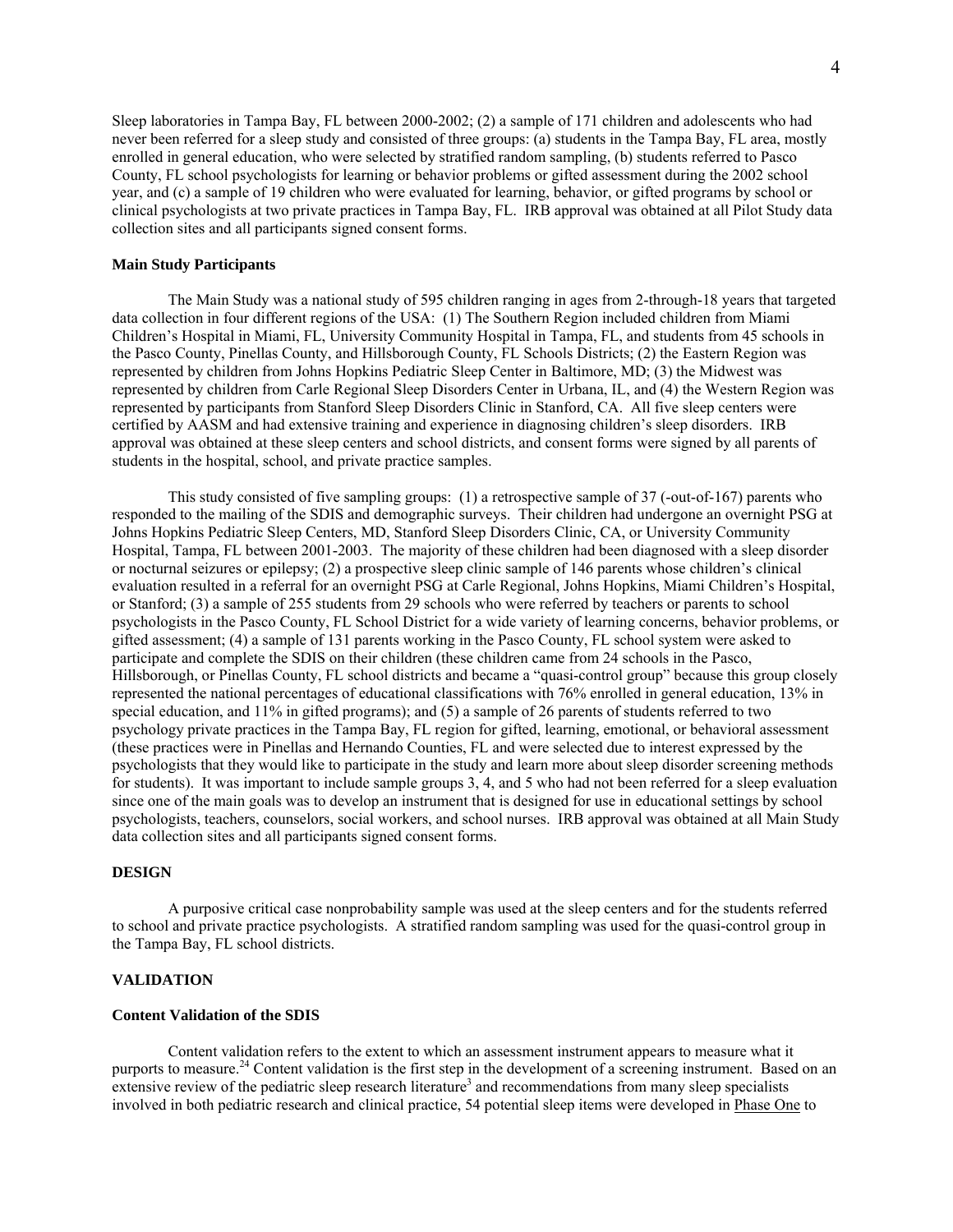Sleep laboratories in Tampa Bay, FL between 2000-2002; (2) a sample of 171 children and adolescents who had never been referred for a sleep study and consisted of three groups: (a) students in the Tampa Bay, FL area, mostly enrolled in general education, who were selected by stratified random sampling, (b) students referred to Pasco County, FL school psychologists for learning or behavior problems or gifted assessment during the 2002 school year, and (c) a sample of 19 children who were evaluated for learning, behavior, or gifted programs by school or clinical psychologists at two private practices in Tampa Bay, FL. IRB approval was obtained at all Pilot Study data collection sites and all participants signed consent forms.

## **Main Study Participants**

 The Main Study was a national study of 595 children ranging in ages from 2-through-18 years that targeted data collection in four different regions of the USA: (1) The Southern Region included children from Miami Children's Hospital in Miami, FL, University Community Hospital in Tampa, FL, and students from 45 schools in the Pasco County, Pinellas County, and Hillsborough County, FL Schools Districts; (2) the Eastern Region was represented by children from Johns Hopkins Pediatric Sleep Center in Baltimore, MD; (3) the Midwest was represented by children from Carle Regional Sleep Disorders Center in Urbana, IL, and (4) the Western Region was represented by participants from Stanford Sleep Disorders Clinic in Stanford, CA. All five sleep centers were certified by AASM and had extensive training and experience in diagnosing children's sleep disorders. IRB approval was obtained at these sleep centers and school districts, and consent forms were signed by all parents of students in the hospital, school, and private practice samples.

 This study consisted of five sampling groups: (1) a retrospective sample of 37 (-out-of-167) parents who responded to the mailing of the SDIS and demographic surveys. Their children had undergone an overnight PSG at Johns Hopkins Pediatric Sleep Centers, MD, Stanford Sleep Disorders Clinic, CA, or University Community Hospital, Tampa, FL between 2001-2003. The majority of these children had been diagnosed with a sleep disorder or nocturnal seizures or epilepsy; (2) a prospective sleep clinic sample of 146 parents whose children's clinical evaluation resulted in a referral for an overnight PSG at Carle Regional, Johns Hopkins, Miami Children's Hospital, or Stanford; (3) a sample of 255 students from 29 schools who were referred by teachers or parents to school psychologists in the Pasco County, FL School District for a wide variety of learning concerns, behavior problems, or gifted assessment; (4) a sample of 131 parents working in the Pasco County, FL school system were asked to participate and complete the SDIS on their children (these children came from 24 schools in the Pasco, Hillsborough, or Pinellas County, FL school districts and became a "quasi-control group" because this group closely represented the national percentages of educational classifications with 76% enrolled in general education, 13% in special education, and 11% in gifted programs); and (5) a sample of 26 parents of students referred to two psychology private practices in the Tampa Bay, FL region for gifted, learning, emotional, or behavioral assessment (these practices were in Pinellas and Hernando Counties, FL and were selected due to interest expressed by the psychologists that they would like to participate in the study and learn more about sleep disorder screening methods for students). It was important to include sample groups 3, 4, and 5 who had not been referred for a sleep evaluation since one of the main goals was to develop an instrument that is designed for use in educational settings by school psychologists, teachers, counselors, social workers, and school nurses. IRB approval was obtained at all Main Study data collection sites and all participants signed consent forms.

## **DESIGN**

A purposive critical case nonprobability sample was used at the sleep centers and for the students referred to school and private practice psychologists. A stratified random sampling was used for the quasi-control group in the Tampa Bay, FL school districts.

#### **VALIDATION**

#### **Content Validation of the SDIS**

Content validation refers to the extent to which an assessment instrument appears to measure what it purports to measure.<sup>24</sup> Content validation is the first step in the development of a screening instrument. Based on an extensive review of the pediatric sleep research literature<sup>3</sup> and recommendations from many sleep specialists involved in both pediatric research and clinical practice, 54 potential sleep items were developed in Phase One to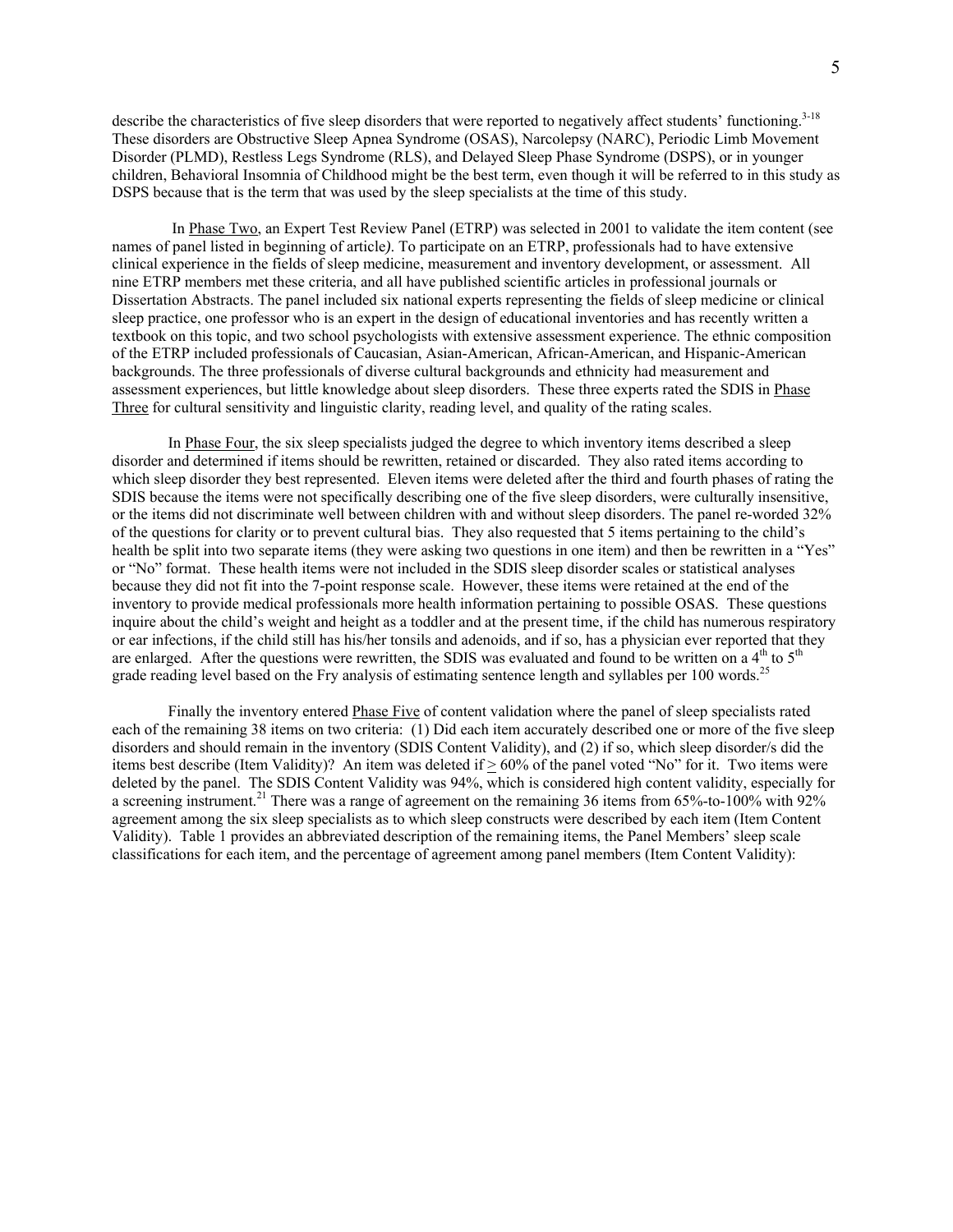describe the characteristics of five sleep disorders that were reported to negatively affect students' functioning.<sup>3-18</sup> These disorders are Obstructive Sleep Apnea Syndrome (OSAS), Narcolepsy (NARC), Periodic Limb Movement Disorder (PLMD), Restless Legs Syndrome (RLS), and Delayed Sleep Phase Syndrome (DSPS), or in younger children, Behavioral Insomnia of Childhood might be the best term, even though it will be referred to in this study as DSPS because that is the term that was used by the sleep specialists at the time of this study.

 In Phase Two, an Expert Test Review Panel (ETRP) was selected in 2001 to validate the item content (see names of panel listed in beginning of article*)*. To participate on an ETRP, professionals had to have extensive clinical experience in the fields of sleep medicine, measurement and inventory development, or assessment. All nine ETRP members met these criteria, and all have published scientific articles in professional journals or Dissertation Abstracts. The panel included six national experts representing the fields of sleep medicine or clinical sleep practice, one professor who is an expert in the design of educational inventories and has recently written a textbook on this topic, and two school psychologists with extensive assessment experience. The ethnic composition of the ETRP included professionals of Caucasian, Asian-American, African-American, and Hispanic-American backgrounds. The three professionals of diverse cultural backgrounds and ethnicity had measurement and assessment experiences, but little knowledge about sleep disorders. These three experts rated the SDIS in Phase Three for cultural sensitivity and linguistic clarity, reading level, and quality of the rating scales.

In Phase Four, the six sleep specialists judged the degree to which inventory items described a sleep disorder and determined if items should be rewritten, retained or discarded. They also rated items according to which sleep disorder they best represented. Eleven items were deleted after the third and fourth phases of rating the SDIS because the items were not specifically describing one of the five sleep disorders, were culturally insensitive, or the items did not discriminate well between children with and without sleep disorders. The panel re-worded 32% of the questions for clarity or to prevent cultural bias. They also requested that 5 items pertaining to the child's health be split into two separate items (they were asking two questions in one item) and then be rewritten in a "Yes" or "No" format. These health items were not included in the SDIS sleep disorder scales or statistical analyses because they did not fit into the 7-point response scale. However, these items were retained at the end of the inventory to provide medical professionals more health information pertaining to possible OSAS. These questions inquire about the child's weight and height as a toddler and at the present time, if the child has numerous respiratory or ear infections, if the child still has his/her tonsils and adenoids, and if so, has a physician ever reported that they are enlarged. After the questions were rewritten, the SDIS was evaluated and found to be written on a  $4<sup>th</sup>$  to  $5<sup>th</sup>$ grade reading level based on the Fry analysis of estimating sentence length and syllables per 100 words.<sup>25</sup>

Finally the inventory entered Phase Five of content validation where the panel of sleep specialists rated each of the remaining 38 items on two criteria: (1) Did each item accurately described one or more of the five sleep disorders and should remain in the inventory (SDIS Content Validity), and (2) if so, which sleep disorder/s did the items best describe (Item Validity)? An item was deleted if  $\geq 60\%$  of the panel voted "No" for it. Two items were deleted by the panel. The SDIS Content Validity was 94%, which is considered high content validity, especially for a screening instrument.<sup>21</sup> There was a range of agreement on the remaining 36 items from 65%-to-100% with 92% agreement among the six sleep specialists as to which sleep constructs were described by each item (Item Content Validity). Table 1 provides an abbreviated description of the remaining items, the Panel Members' sleep scale classifications for each item, and the percentage of agreement among panel members (Item Content Validity):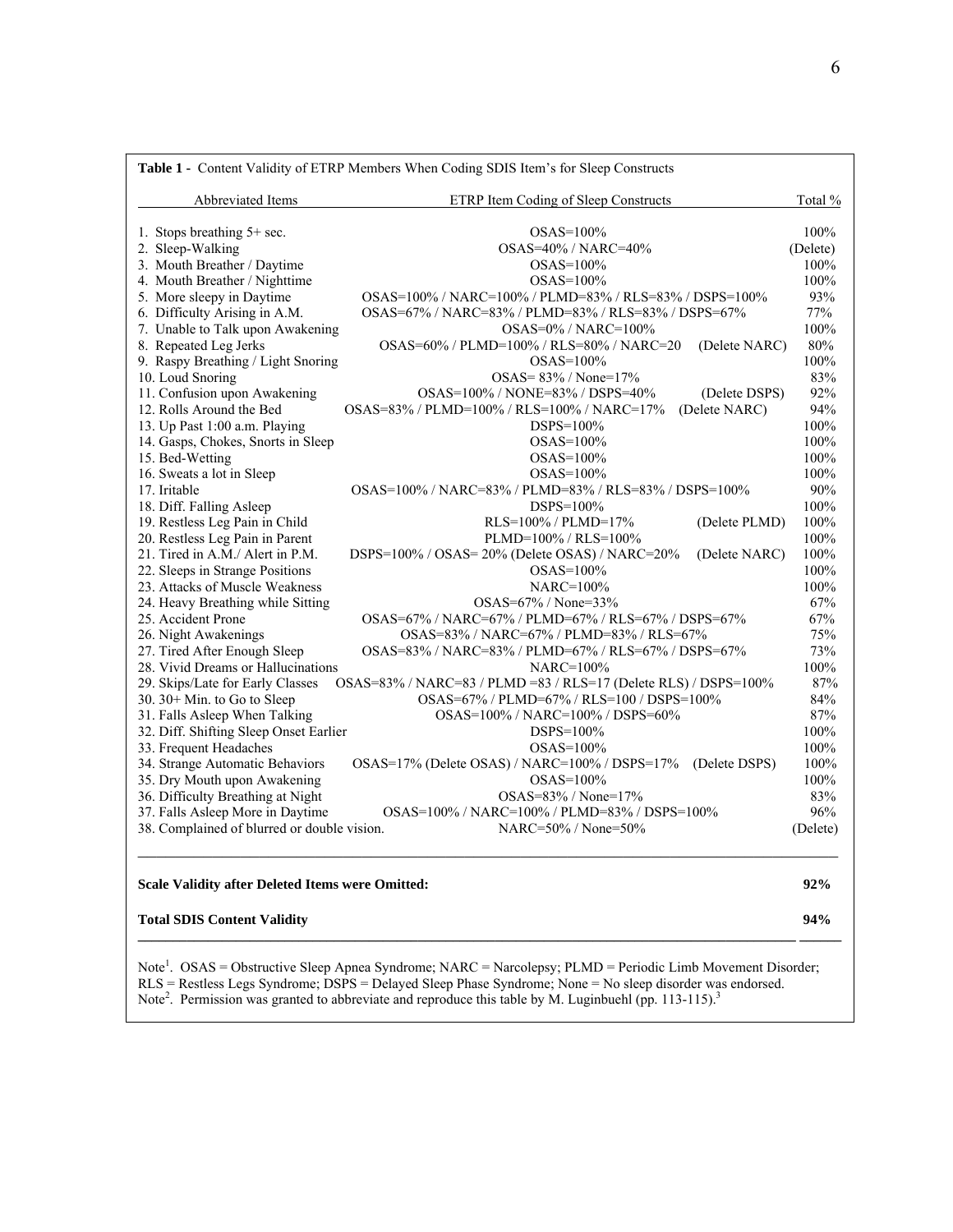| Abbreviated Items                           | <b>ETRP Item Coding of Sleep Constructs</b>                     | Total %  |
|---------------------------------------------|-----------------------------------------------------------------|----------|
| 1. Stops breathing 5+ sec.                  | $OSAS=100\%$                                                    | 100%     |
| 2. Sleep-Walking                            | OSAS=40% / NARC=40%                                             | (Delete) |
| 3. Mouth Breather / Daytime                 | $OSAS=100\%$                                                    | 100%     |
| 4. Mouth Breather / Nighttime               | $OSAS=100%$                                                     | 100%     |
| 5. More sleepy in Daytime                   | OSAS=100% / NARC=100% / PLMD=83% / RLS=83% / DSPS=100%          | 93%      |
| 6. Difficulty Arising in A.M.               | OSAS=67% / NARC=83% / PLMD=83% / RLS=83% / DSPS=67%             | 77%      |
| 7. Unable to Talk upon Awakening            | OSAS=0% / NARC=100%                                             | 100%     |
| 8. Repeated Leg Jerks                       | OSAS=60% / PLMD=100% / RLS=80% / NARC=20<br>(Delete NARC)       | 80%      |
| 9. Raspy Breathing / Light Snoring          | $OSAS=100\%$                                                    | 100%     |
| 10. Loud Snoring                            | OSAS= $83\%$ / None= $17\%$                                     | 83%      |
| 11. Confusion upon Awakening                | OSAS=100% / NONE=83% / DSPS=40%<br>(Delete DSPS)                | 92%      |
| 12. Rolls Around the Bed                    | OSAS=83% / PLMD=100% / RLS=100% / NARC=17%<br>(Delete NARC)     | 94%      |
| 13. Up Past 1:00 a.m. Playing               | DSPS=100%                                                       | 100%     |
| 14. Gasps, Chokes, Snorts in Sleep          | OSAS=100%                                                       | 100%     |
| 15. Bed-Wetting                             | $OSAS=100\%$                                                    | 100%     |
| 16. Sweats a lot in Sleep                   | $OSAS=100\%$                                                    | 100%     |
| 17. Iritable                                | OSAS=100%/NARC=83%/PLMD=83%/RLS=83%/DSPS=100%                   | 90%      |
| 18. Diff. Falling Asleep                    | $DSPS=100\%$                                                    | 100%     |
| 19. Restless Leg Pain in Child              | RLS=100% / PLMD=17%<br>(Delete PLMD)                            | 100%     |
| 20. Restless Leg Pain in Parent             | PLMD=100% / RLS=100%                                            | 100%     |
| 21. Tired in A.M./ Alert in P.M.            | DSPS=100% / OSAS= 20% (Delete OSAS) / NARC=20%<br>(Delete NARC) | 100%     |
| 22. Sleeps in Strange Positions             | $OSAS=100\%$                                                    | 100%     |
| 23. Attacks of Muscle Weakness              | NARC=100%                                                       | 100%     |
| 24. Heavy Breathing while Sitting           | $OSAS = 67\% / None = 33\%$                                     | 67%      |
| 25. Accident Prone                          | OSAS=67% / NARC=67% / PLMD=67% / RLS=67% / DSPS=67%             | 67%      |
| 26. Night Awakenings                        | OSAS=83% / NARC=67% / PLMD=83% / RLS=67%                        | 75%      |
| 27. Tired After Enough Sleep                | OSAS=83% / NARC=83% / PLMD=67% / RLS=67% / DSPS=67%             | 73%      |
| 28. Vivid Dreams or Hallucinations          | NARC=100%                                                       | 100%     |
| 29. Skips/Late for Early Classes            | OSAS=83% / NARC=83 / PLMD =83 / RLS=17 (Delete RLS) / DSPS=100% | 87%      |
| 30. 30+ Min. to Go to Sleep                 | OSAS=67% / PLMD=67% / RLS=100 / DSPS=100%                       | 84%      |
| 31. Falls Asleep When Talking               | OSAS=100% / NARC=100% / DSPS=60%                                | 87%      |
| 32. Diff. Shifting Sleep Onset Earlier      | DSPS=100%                                                       | 100%     |
| 33. Frequent Headaches                      | OSAS=100%                                                       | 100%     |
| 34. Strange Automatic Behaviors             | OSAS=17% (Delete OSAS) / NARC=100% / DSPS=17%<br>(Delete DSPS)  | 100%     |
| 35. Dry Mouth upon Awakening                | OSAS=100%                                                       | 100%     |
| 36. Difficulty Breathing at Night           | $OSAS = 83\% / None = 17\%$                                     | 83%      |
| 37. Falls Asleep More in Daytime            | OSAS=100% / NARC=100% / PLMD=83% / DSPS=100%                    | 96%      |
| 38. Complained of blurred or double vision. | $NARC = 50\% / None = 50\%$                                     | (Delete) |

# **Scale Validity after Deleted Items were Omitted: 92%**

## **Total SDIS Content Validity 94%**

Note<sup>1</sup>. OSAS = Obstructive Sleep Apnea Syndrome; NARC = Narcolepsy; PLMD = Periodic Limb Movement Disorder; RLS = Restless Legs Syndrome; DSPS = Delayed Sleep Phase Syndrome; None = No sleep disorder was endorsed. Note<sup>2</sup>. Permission was granted to abbreviate and reproduce this table by M. Luginbuehl (pp. 113-115).<sup>3</sup>

**\_\_\_\_\_\_\_\_\_\_\_\_\_\_\_\_\_\_\_\_\_\_\_\_\_\_\_\_\_\_\_\_\_\_\_\_\_\_\_\_\_\_\_\_\_\_\_\_\_\_\_\_\_\_\_\_\_\_\_\_\_\_\_\_\_\_\_\_\_\_\_\_\_\_\_\_\_\_\_\_\_\_\_\_\_\_\_\_\_\_\_\_\_\_ \_\_\_\_\_\_**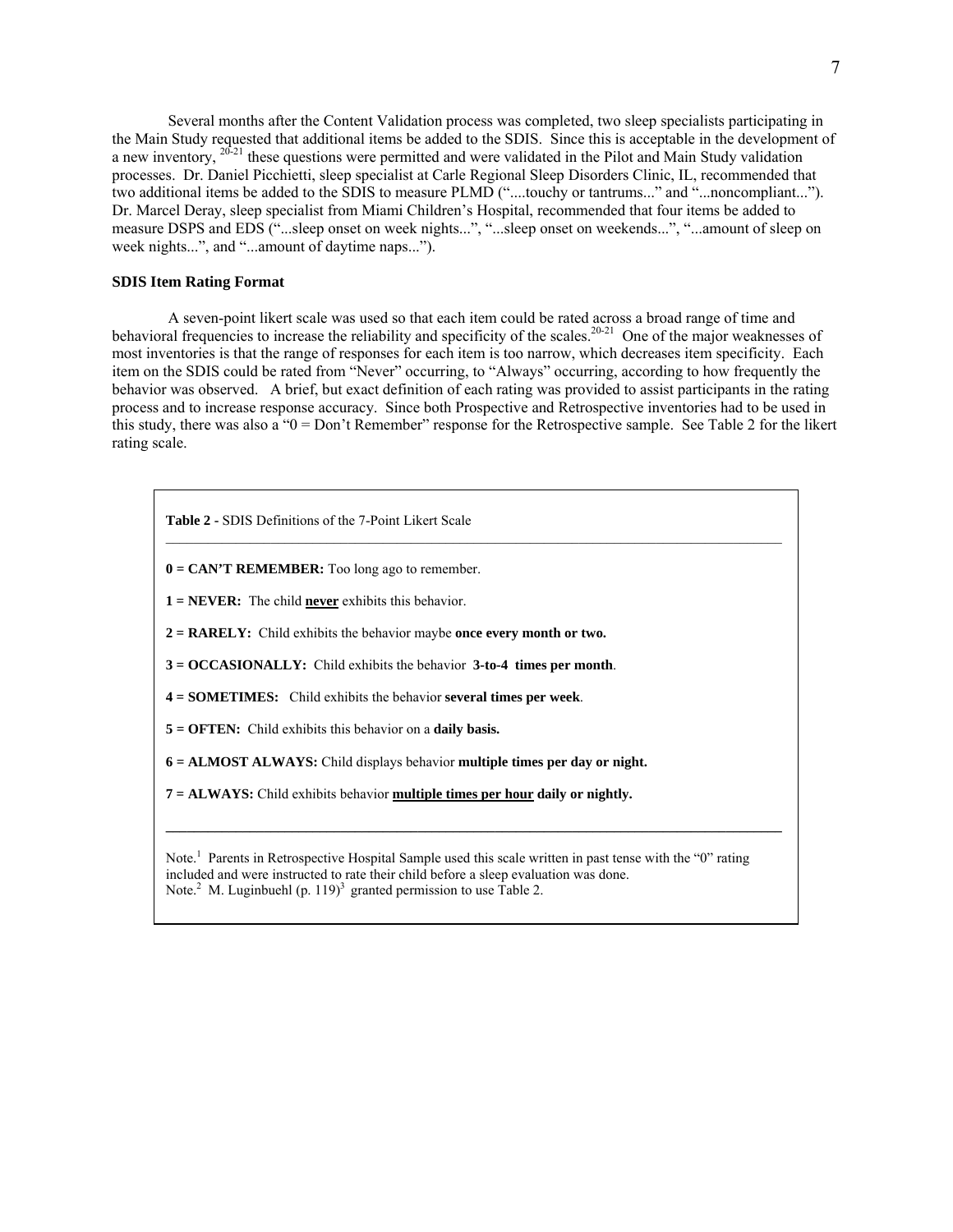Several months after the Content Validation process was completed, two sleep specialists participating in the Main Study requested that additional items be added to the SDIS. Since this is acceptable in the development of a new inventory, <sup>20-21</sup> these questions were permitted and were validated in the Pilot and Main Study validation processes. Dr. Daniel Picchietti, sleep specialist at Carle Regional Sleep Disorders Clinic, IL, recommended that two additional items be added to the SDIS to measure PLMD ("....touchy or tantrums..." and "...noncompliant..."). Dr. Marcel Deray, sleep specialist from Miami Children's Hospital, recommended that four items be added to measure DSPS and EDS ("...sleep onset on week nights...", "...sleep onset on weekends...", "...amount of sleep on week nights...", and "...amount of daytime naps...").

## **SDIS Item Rating Format**

 A seven-point likert scale was used so that each item could be rated across a broad range of time and behavioral frequencies to increase the reliability and specificity of the scales.<sup>20-21</sup> One of the major weaknesses of most inventories is that the range of responses for each item is too narrow, which decreases item specificity. Each item on the SDIS could be rated from "Never" occurring, to "Always" occurring, according to how frequently the behavior was observed. A brief, but exact definition of each rating was provided to assist participants in the rating process and to increase response accuracy. Since both Prospective and Retrospective inventories had to be used in this study, there was also a "0 = Don't Remember" response for the Retrospective sample. See Table 2 for the likert rating scale.

**Table 2 -** SDIS Definitions of the 7-Point Likert Scale

**0 = CAN'T REMEMBER:** Too long ago to remember.

**1 = NEVER:** The child **never** exhibits this behavior.

**2 = RARELY:** Child exhibits the behavior maybe **once every month or two.** 

**3 = OCCASIONALLY:** Child exhibits the behavior **3-to-4 times per month**.

**4 = SOMETIMES:** Child exhibits the behavior **several times per week**.

**5 = OFTEN:** Child exhibits this behavior on a **daily basis.** 

**6 = ALMOST ALWAYS:** Child displays behavior **multiple times per day or night.** 

**7 = ALWAYS:** Child exhibits behavior **multiple times per hour daily or nightly.** 

Note.<sup>1</sup> Parents in Retrospective Hospital Sample used this scale written in past tense with the "0" rating included and were instructed to rate their child before a sleep evaluation was done. Note.<sup>2</sup> M. Luginbuehl (p. 119)<sup>3</sup> granted permission to use Table 2.

**\_\_\_\_\_\_\_\_\_\_\_\_\_\_\_\_\_\_\_\_\_\_\_\_\_\_\_\_\_\_\_\_\_\_\_\_\_\_\_\_\_\_\_\_\_\_\_\_\_\_\_\_\_\_\_\_\_\_\_\_\_\_\_\_\_\_\_\_\_\_\_\_\_\_\_\_\_\_\_\_\_\_\_\_\_\_\_\_**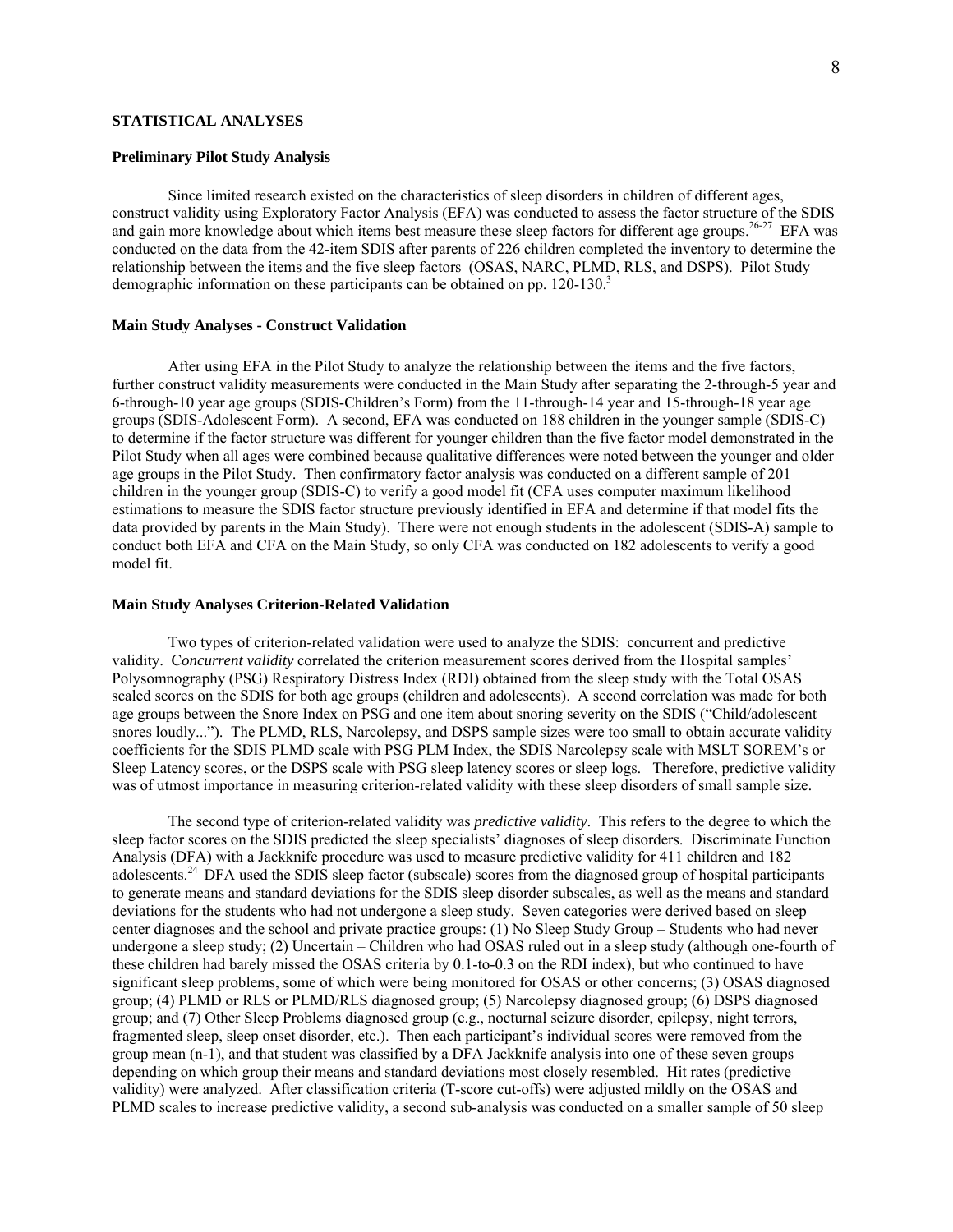## **STATISTICAL ANALYSES**

#### **Preliminary Pilot Study Analysis**

 Since limited research existed on the characteristics of sleep disorders in children of different ages, construct validity using Exploratory Factor Analysis (EFA) was conducted to assess the factor structure of the SDIS and gain more knowledge about which items best measure these sleep factors for different age groups.<sup>26-27</sup> EFA was conducted on the data from the 42-item SDIS after parents of 226 children completed the inventory to determine the relationship between the items and the five sleep factors (OSAS, NARC, PLMD, RLS, and DSPS). Pilot Study demographic information on these participants can be obtained on pp. 120-130.<sup>3</sup>

#### **Main Study Analyses - Construct Validation**

After using EFA in the Pilot Study to analyze the relationship between the items and the five factors, further construct validity measurements were conducted in the Main Study after separating the 2-through-5 year and 6-through-10 year age groups (SDIS-Children's Form) from the 11-through-14 year and 15-through-18 year age groups (SDIS-Adolescent Form). A second, EFA was conducted on 188 children in the younger sample (SDIS-C) to determine if the factor structure was different for younger children than the five factor model demonstrated in the Pilot Study when all ages were combined because qualitative differences were noted between the younger and older age groups in the Pilot Study. Then confirmatory factor analysis was conducted on a different sample of 201 children in the younger group (SDIS-C) to verify a good model fit (CFA uses computer maximum likelihood estimations to measure the SDIS factor structure previously identified in EFA and determine if that model fits the data provided by parents in the Main Study). There were not enough students in the adolescent (SDIS-A) sample to conduct both EFA and CFA on the Main Study, so only CFA was conducted on 182 adolescents to verify a good model fit.

#### **Main Study Analyses Criterion-Related Validation**

 Two types of criterion-related validation were used to analyze the SDIS: concurrent and predictive validity. C*oncurrent validity* correlated the criterion measurement scores derived from the Hospital samples' Polysomnography (PSG) Respiratory Distress Index (RDI) obtained from the sleep study with the Total OSAS scaled scores on the SDIS for both age groups (children and adolescents). A second correlation was made for both age groups between the Snore Index on PSG and one item about snoring severity on the SDIS ("Child/adolescent snores loudly..."). The PLMD, RLS, Narcolepsy, and DSPS sample sizes were too small to obtain accurate validity coefficients for the SDIS PLMD scale with PSG PLM Index, the SDIS Narcolepsy scale with MSLT SOREM's or Sleep Latency scores, or the DSPS scale with PSG sleep latency scores or sleep logs. Therefore, predictive validity was of utmost importance in measuring criterion-related validity with these sleep disorders of small sample size.

 The second type of criterion-related validity was *predictive validity*. This refers to the degree to which the sleep factor scores on the SDIS predicted the sleep specialists' diagnoses of sleep disorders. Discriminate Function Analysis (DFA) with a Jackknife procedure was used to measure predictive validity for 411 children and 182 adolescents.<sup>24</sup> DFA used the SDIS sleep factor (subscale) scores from the diagnosed group of hospital participants to generate means and standard deviations for the SDIS sleep disorder subscales, as well as the means and standard deviations for the students who had not undergone a sleep study. Seven categories were derived based on sleep center diagnoses and the school and private practice groups: (1) No Sleep Study Group – Students who had never undergone a sleep study; (2) Uncertain – Children who had OSAS ruled out in a sleep study (although one-fourth of these children had barely missed the OSAS criteria by 0.1-to-0.3 on the RDI index), but who continued to have significant sleep problems, some of which were being monitored for OSAS or other concerns; (3) OSAS diagnosed group; (4) PLMD or RLS or PLMD/RLS diagnosed group; (5) Narcolepsy diagnosed group; (6) DSPS diagnosed group; and (7) Other Sleep Problems diagnosed group (e.g., nocturnal seizure disorder, epilepsy, night terrors, fragmented sleep, sleep onset disorder, etc.). Then each participant's individual scores were removed from the group mean (n-1), and that student was classified by a DFA Jackknife analysis into one of these seven groups depending on which group their means and standard deviations most closely resembled. Hit rates (predictive validity) were analyzed. After classification criteria (T-score cut-offs) were adjusted mildly on the OSAS and PLMD scales to increase predictive validity, a second sub-analysis was conducted on a smaller sample of 50 sleep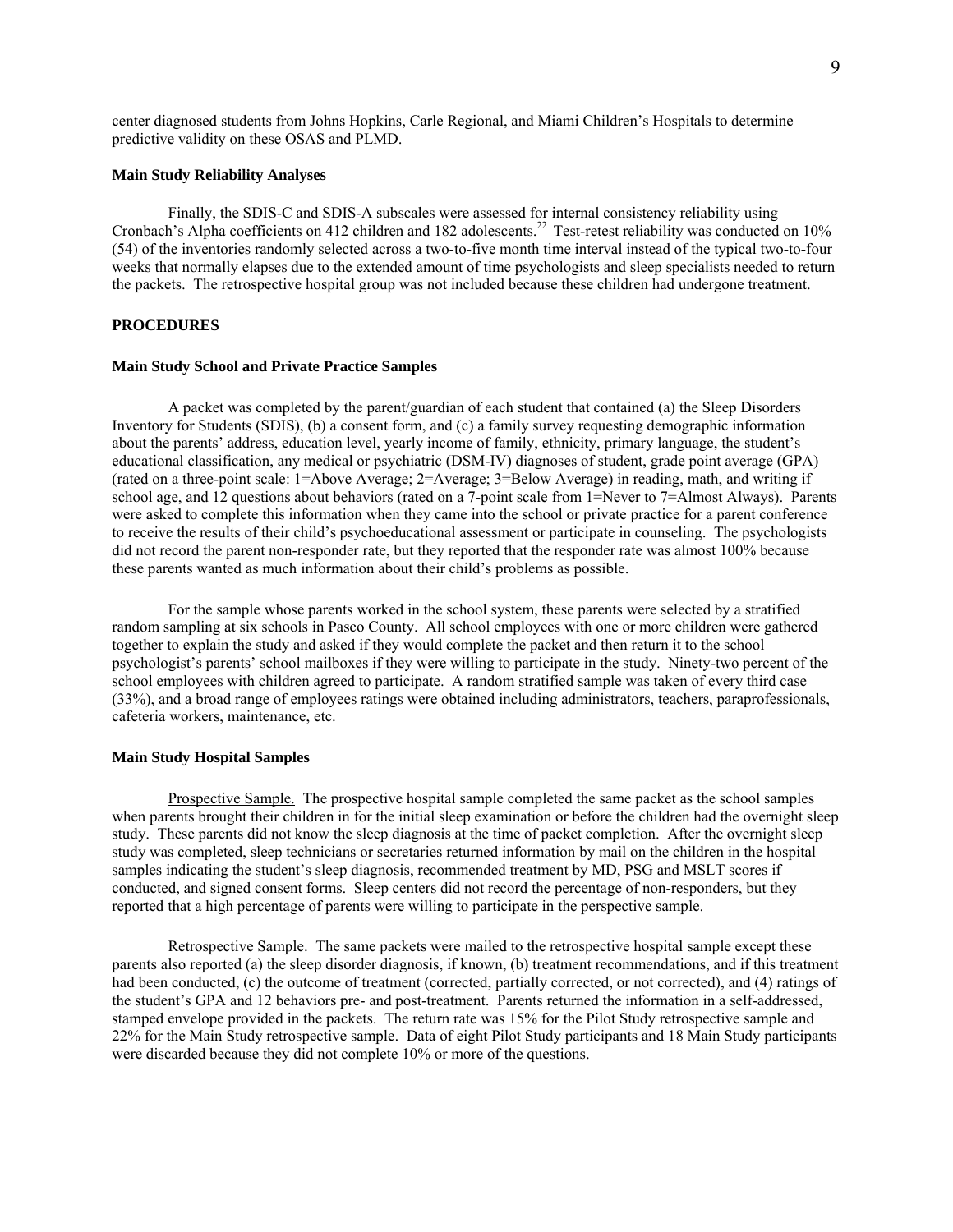center diagnosed students from Johns Hopkins, Carle Regional, and Miami Children's Hospitals to determine predictive validity on these OSAS and PLMD.

#### **Main Study Reliability Analyses**

 Finally, the SDIS-C and SDIS-A subscales were assessed for internal consistency reliability using Cronbach's Alpha coefficients on 412 children and 182 adolescents.<sup>22</sup> Test-retest reliability was conducted on 10% (54) of the inventories randomly selected across a two-to-five month time interval instead of the typical two-to-four weeks that normally elapses due to the extended amount of time psychologists and sleep specialists needed to return the packets. The retrospective hospital group was not included because these children had undergone treatment.

## **PROCEDURES**

#### **Main Study School and Private Practice Samples**

 A packet was completed by the parent/guardian of each student that contained (a) the Sleep Disorders Inventory for Students (SDIS), (b) a consent form, and (c) a family survey requesting demographic information about the parents' address, education level, yearly income of family, ethnicity, primary language, the student's educational classification, any medical or psychiatric (DSM-IV) diagnoses of student, grade point average (GPA) (rated on a three-point scale: 1=Above Average; 2=Average; 3=Below Average) in reading, math, and writing if school age, and 12 questions about behaviors (rated on a 7-point scale from 1=Never to 7=Almost Always). Parents were asked to complete this information when they came into the school or private practice for a parent conference to receive the results of their child's psychoeducational assessment or participate in counseling. The psychologists did not record the parent non-responder rate, but they reported that the responder rate was almost 100% because these parents wanted as much information about their child's problems as possible.

 For the sample whose parents worked in the school system, these parents were selected by a stratified random sampling at six schools in Pasco County. All school employees with one or more children were gathered together to explain the study and asked if they would complete the packet and then return it to the school psychologist's parents' school mailboxes if they were willing to participate in the study. Ninety-two percent of the school employees with children agreed to participate. A random stratified sample was taken of every third case (33%), and a broad range of employees ratings were obtained including administrators, teachers, paraprofessionals, cafeteria workers, maintenance, etc.

#### **Main Study Hospital Samples**

 Prospective Sample. The prospective hospital sample completed the same packet as the school samples when parents brought their children in for the initial sleep examination or before the children had the overnight sleep study. These parents did not know the sleep diagnosis at the time of packet completion. After the overnight sleep study was completed, sleep technicians or secretaries returned information by mail on the children in the hospital samples indicating the student's sleep diagnosis, recommended treatment by MD, PSG and MSLT scores if conducted, and signed consent forms. Sleep centers did not record the percentage of non-responders, but they reported that a high percentage of parents were willing to participate in the perspective sample.

 Retrospective Sample. The same packets were mailed to the retrospective hospital sample except these parents also reported (a) the sleep disorder diagnosis, if known, (b) treatment recommendations, and if this treatment had been conducted, (c) the outcome of treatment (corrected, partially corrected, or not corrected), and (4) ratings of the student's GPA and 12 behaviors pre- and post-treatment. Parents returned the information in a self-addressed, stamped envelope provided in the packets. The return rate was 15% for the Pilot Study retrospective sample and 22% for the Main Study retrospective sample. Data of eight Pilot Study participants and 18 Main Study participants were discarded because they did not complete 10% or more of the questions.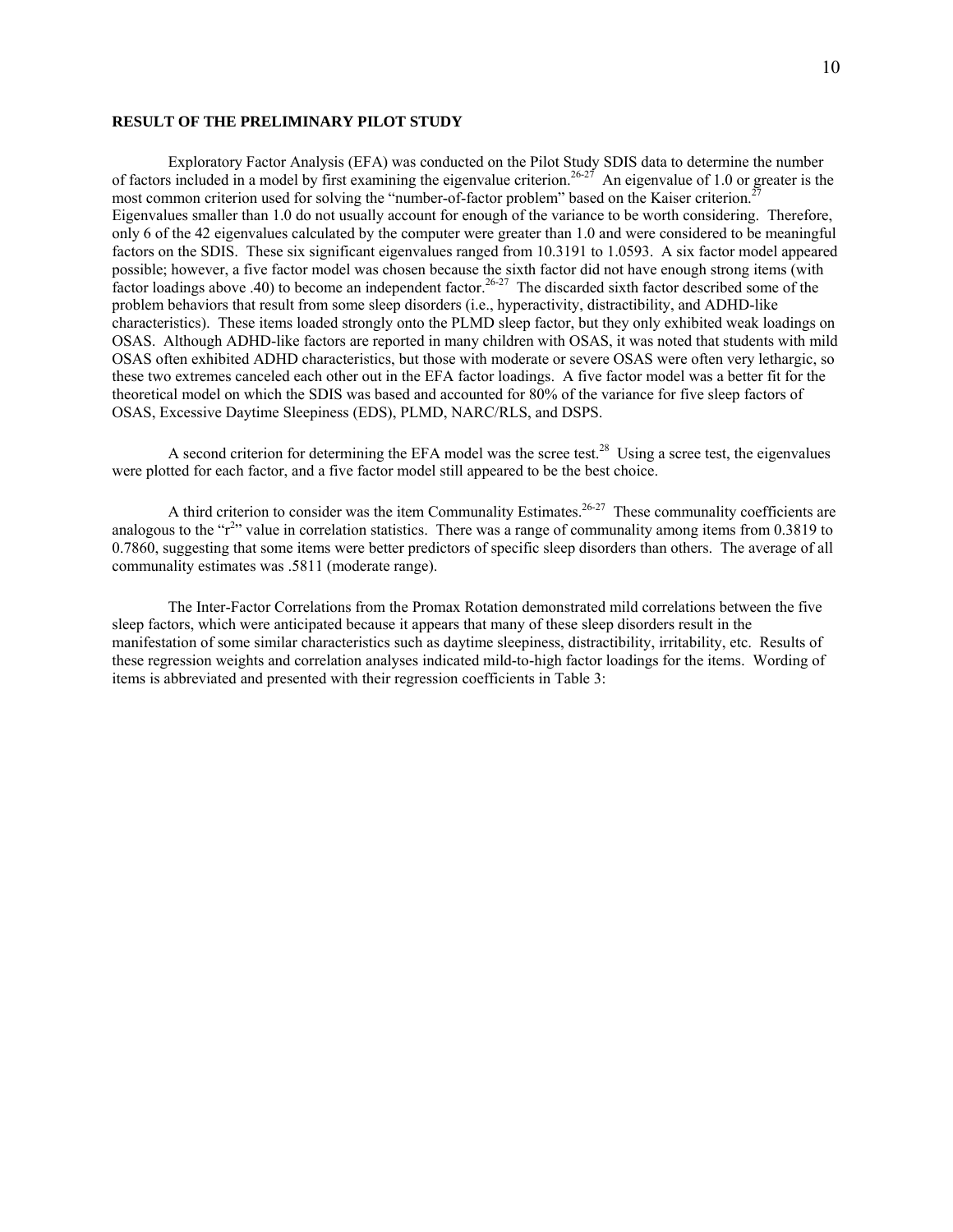## **RESULT OF THE PRELIMINARY PILOT STUDY**

 Exploratory Factor Analysis (EFA) was conducted on the Pilot Study SDIS data to determine the number of factors included in a model by first examining the eigenvalue criterion.<sup>26-27</sup> An eigenvalue of 1.0 or greater is the most common criterion used for solving the "number-of-factor problem" based on the Kaiser criterion.<sup>2</sup> Eigenvalues smaller than 1.0 do not usually account for enough of the variance to be worth considering. Therefore, only 6 of the 42 eigenvalues calculated by the computer were greater than 1.0 and were considered to be meaningful factors on the SDIS. These six significant eigenvalues ranged from 10.3191 to 1.0593. A six factor model appeared possible; however, a five factor model was chosen because the sixth factor did not have enough strong items (with factor loadings above .40) to become an independent factor.26-27 The discarded sixth factor described some of the problem behaviors that result from some sleep disorders (i.e., hyperactivity, distractibility, and ADHD-like characteristics). These items loaded strongly onto the PLMD sleep factor, but they only exhibited weak loadings on OSAS. Although ADHD-like factors are reported in many children with OSAS, it was noted that students with mild OSAS often exhibited ADHD characteristics, but those with moderate or severe OSAS were often very lethargic, so these two extremes canceled each other out in the EFA factor loadings. A five factor model was a better fit for the theoretical model on which the SDIS was based and accounted for 80% of the variance for five sleep factors of OSAS, Excessive Daytime Sleepiness (EDS), PLMD, NARC/RLS, and DSPS.

A second criterion for determining the EFA model was the scree test.<sup>28</sup> Using a scree test, the eigenvalues were plotted for each factor, and a five factor model still appeared to be the best choice.

A third criterion to consider was the item Communality Estimates.<sup>26-27</sup> These communality coefficients are analogous to the " $r^{2}$ " value in correlation statistics. There was a range of communality among items from 0.3819 to 0.7860, suggesting that some items were better predictors of specific sleep disorders than others. The average of all communality estimates was .5811 (moderate range).

The Inter-Factor Correlations from the Promax Rotation demonstrated mild correlations between the five sleep factors, which were anticipated because it appears that many of these sleep disorders result in the manifestation of some similar characteristics such as daytime sleepiness, distractibility, irritability, etc. Results of these regression weights and correlation analyses indicated mild-to-high factor loadings for the items. Wording of items is abbreviated and presented with their regression coefficients in Table 3: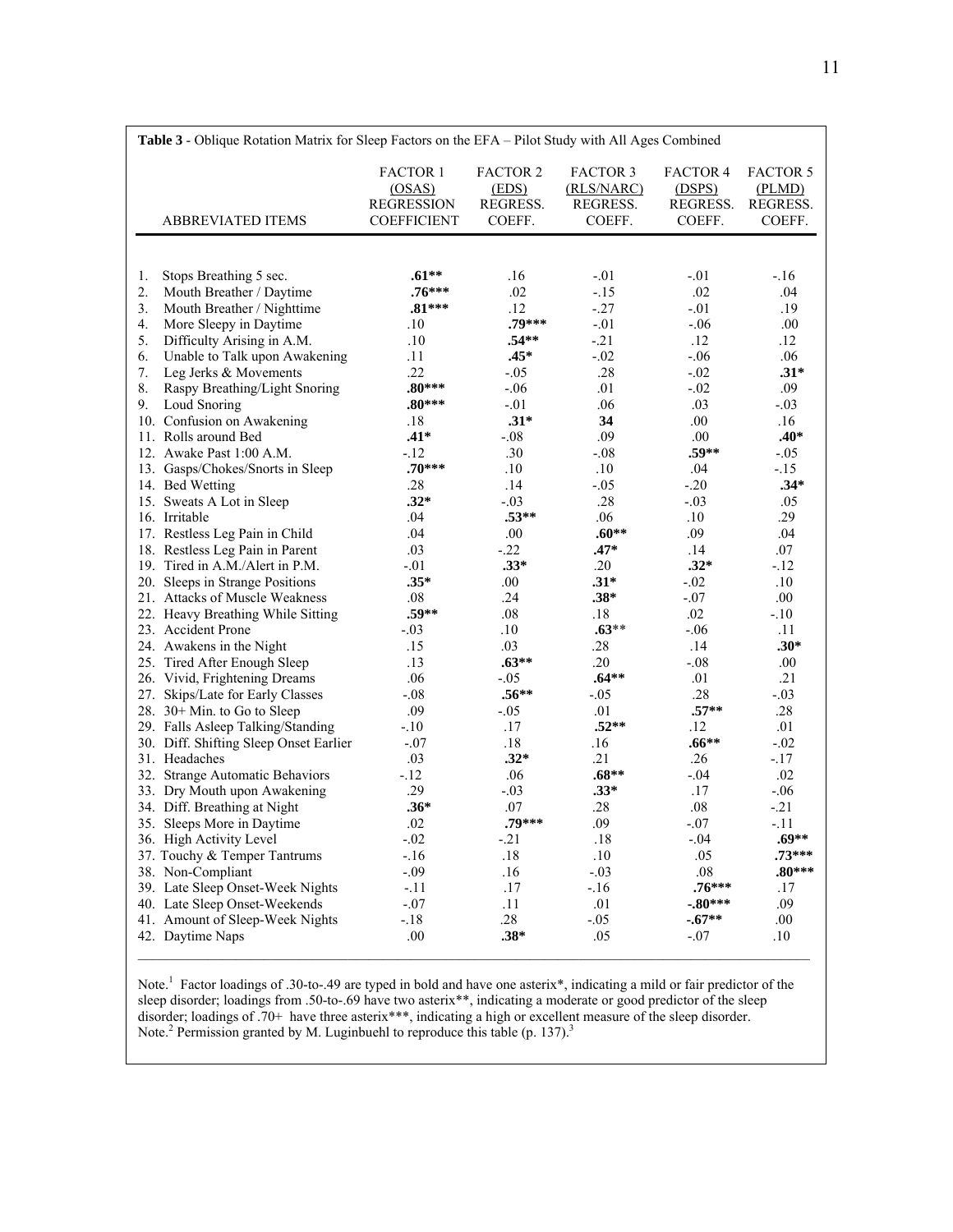|    | Table 3 - Oblique Rotation Matrix for Sleep Factors on the EFA - Pilot Study with All Ages Combined |                                                                      |                                                |                                                     |                                                 |                                                 |
|----|-----------------------------------------------------------------------------------------------------|----------------------------------------------------------------------|------------------------------------------------|-----------------------------------------------------|-------------------------------------------------|-------------------------------------------------|
|    | <b>ABBREVIATED ITEMS</b>                                                                            | <b>FACTOR 1</b><br>(OSAS)<br><b>REGRESSION</b><br><b>COEFFICIENT</b> | <b>FACTOR 2</b><br>(EDS)<br>REGRESS.<br>COEFF. | <b>FACTOR 3</b><br>(RLS/NARC)<br>REGRESS.<br>COEFF. | <b>FACTOR 4</b><br>(DSPS)<br>REGRESS.<br>COEFF. | <b>FACTOR 5</b><br>(PLMD)<br>REGRESS.<br>COEFF. |
|    |                                                                                                     |                                                                      |                                                |                                                     |                                                 |                                                 |
| 1. | Stops Breathing 5 sec.                                                                              | $.61**$                                                              | .16                                            | $-.01$                                              | $-.01$                                          | $-16$                                           |
| 2. | Mouth Breather / Daytime                                                                            | $.76***$                                                             | .02                                            | $-15$                                               | .02                                             | .04                                             |
| 3. | Mouth Breather / Nighttime                                                                          | $.81***$                                                             | .12                                            | $-27$                                               | $-.01$                                          | .19                                             |
| 4. | More Sleepy in Daytime                                                                              | .10                                                                  | .79***                                         | $-.01$                                              | $-.06$                                          | .00.                                            |
| 5. | Difficulty Arising in A.M.                                                                          | .10                                                                  | $.54**$                                        | $-.21$                                              | .12                                             | .12                                             |
| 6. | Unable to Talk upon Awakening                                                                       | .11                                                                  | $.45*$                                         | $-.02$                                              | $-0.06$                                         | .06                                             |
| 7. | Leg Jerks & Movements                                                                               | .22                                                                  | $-.05$                                         | .28                                                 | $-.02$                                          | $.31*$                                          |
| 8. | Raspy Breathing/Light Snoring                                                                       | $.80***$                                                             | $-.06$                                         | .01                                                 | $-.02$                                          | .09                                             |
| 9. | Loud Snoring                                                                                        | $.80***$                                                             | $-.01$                                         | .06                                                 | .03                                             | $-.03$                                          |
|    | 10. Confusion on Awakening                                                                          | .18                                                                  | $.31*$                                         | 34                                                  | .00.                                            | .16                                             |
|    | 11. Rolls around Bed                                                                                | $.41*$                                                               | $-.08$                                         | .09                                                 | .00                                             | $.40*$                                          |
|    | 12. Awake Past 1:00 A.M.                                                                            | $-.12$                                                               | .30                                            | $-.08$                                              | $.59**$                                         | $-.05$                                          |
|    | 13. Gasps/Chokes/Snorts in Sleep                                                                    | $.70***$                                                             | .10                                            | .10                                                 | .04                                             | $-15$                                           |
|    | 14. Bed Wetting                                                                                     | .28                                                                  | .14                                            | $-.05$                                              | $-20$                                           | $.34*$                                          |
|    | 15. Sweats A Lot in Sleep                                                                           | $.32*$                                                               | $-.03$                                         | .28                                                 | $-.03$                                          | .05                                             |
|    | 16. Irritable                                                                                       | .04                                                                  | $.53**$                                        | .06                                                 | .10                                             | .29                                             |
|    | 17. Restless Leg Pain in Child                                                                      | .04                                                                  | $.00\,$                                        | $.60**$                                             | .09                                             | .04                                             |
|    | 18. Restless Leg Pain in Parent                                                                     | .03                                                                  | $-22$                                          | $.47*$                                              | .14                                             | .07                                             |
|    | 19. Tired in A.M./Alert in P.M.                                                                     | $-.01$                                                               | $.33*$                                         | .20                                                 | $.32*$                                          | $-.12$                                          |
|    | 20. Sleeps in Strange Positions                                                                     | $.35*$                                                               | .00                                            | $.31*$                                              | $-.02$                                          | .10                                             |
|    | 21. Attacks of Muscle Weakness                                                                      | .08                                                                  | .24                                            | $.38*$                                              | $-.07$                                          | .00.                                            |
|    | 22. Heavy Breathing While Sitting                                                                   | $.59**$                                                              | .08                                            | .18                                                 | .02                                             | $-.10$                                          |
|    | 23. Accident Prone                                                                                  | $-.03$                                                               | .10                                            | $.63**$                                             | $-.06$                                          | .11                                             |
|    | 24. Awakens in the Night                                                                            | .15                                                                  | .03                                            | .28                                                 | .14                                             | $.30*$                                          |
|    | 25. Tired After Enough Sleep                                                                        | .13                                                                  | $.63**$                                        | .20                                                 | $-.08$                                          | .00.                                            |
|    | 26. Vivid, Frightening Dreams                                                                       | .06                                                                  | $-.05$                                         | $.64**$                                             | .01                                             | .21                                             |
|    | 27. Skips/Late for Early Classes                                                                    | $-.08$                                                               | $.56***$                                       | $-.05$                                              | .28                                             | $-.03$                                          |
|    | 28. $30+$ Min. to Go to Sleep                                                                       | .09                                                                  | $-.05$                                         | .01                                                 | $.57**$                                         | .28                                             |
|    | 29. Falls Asleep Talking/Standing                                                                   | $-.10$                                                               | .17                                            | $.52**$                                             | .12                                             | .01                                             |
|    | 30. Diff. Shifting Sleep Onset Earlier                                                              | $-.07$                                                               | .18                                            | .16                                                 | $.66**$                                         | $-.02$                                          |
|    | 31. Headaches                                                                                       | .03                                                                  | $.32*$                                         | .21                                                 | .26                                             | $-.17$                                          |
|    | 32. Strange Automatic Behaviors                                                                     | $-12$                                                                | .06                                            | $.68**$                                             | $-.04$                                          | .02                                             |
|    | 33. Dry Mouth upon Awakening                                                                        | .29                                                                  | $-.03$                                         | $.33*$                                              | .17                                             | $-.06$                                          |
|    | 34. Diff. Breathing at Night                                                                        | $.36*$                                                               | .07                                            | .28                                                 | $.08\,$                                         | $-21$                                           |
|    | 35. Sleeps More in Daytime                                                                          | .02                                                                  | .79***                                         | .09                                                 | $-.07$                                          | $-.11$                                          |
|    | 36. High Activity Level                                                                             | $-.02$                                                               | $-.21$                                         | .18                                                 | $-.04$                                          | $.69**$                                         |
|    | 37. Touchy & Temper Tantrums                                                                        | $-.16$                                                               | .18                                            | .10                                                 | .05                                             | $.73***$                                        |
|    | 38. Non-Compliant                                                                                   | $-.09$                                                               | .16                                            | $-.03$                                              | .08                                             | $.80***$                                        |
|    | 39. Late Sleep Onset-Week Nights                                                                    | $-.11$                                                               | .17                                            | $-16$                                               | $.76***$                                        | .17                                             |
|    | 40. Late Sleep Onset-Weekends                                                                       | $-.07$                                                               | .11                                            | .01                                                 | $-.80***$                                       | .09                                             |
|    | 41. Amount of Sleep-Week Nights                                                                     | $-.18$                                                               | .28                                            | $-.05$                                              | $-.67**$                                        | .00.                                            |
|    | 42. Daytime Naps                                                                                    | .00                                                                  | $.38*$                                         | .05                                                 | $-.07$                                          | $.10\,$                                         |
|    |                                                                                                     |                                                                      |                                                |                                                     |                                                 |                                                 |

Note.<sup>1</sup> Factor loadings of .30-to-.49 are typed in bold and have one asterix\*, indicating a mild or fair predictor of the sleep disorder; loadings from .50-to-.69 have two asterix\*\*, indicating a moderate or good predictor of the sleep disorder; loadings of .70+ have three asterix\*\*\*, indicating a high or excellent measure of the sleep disorder. Note.<sup>2</sup> Permission granted by M. Luginbuehl to reproduce this table (p. 137).<sup>3</sup>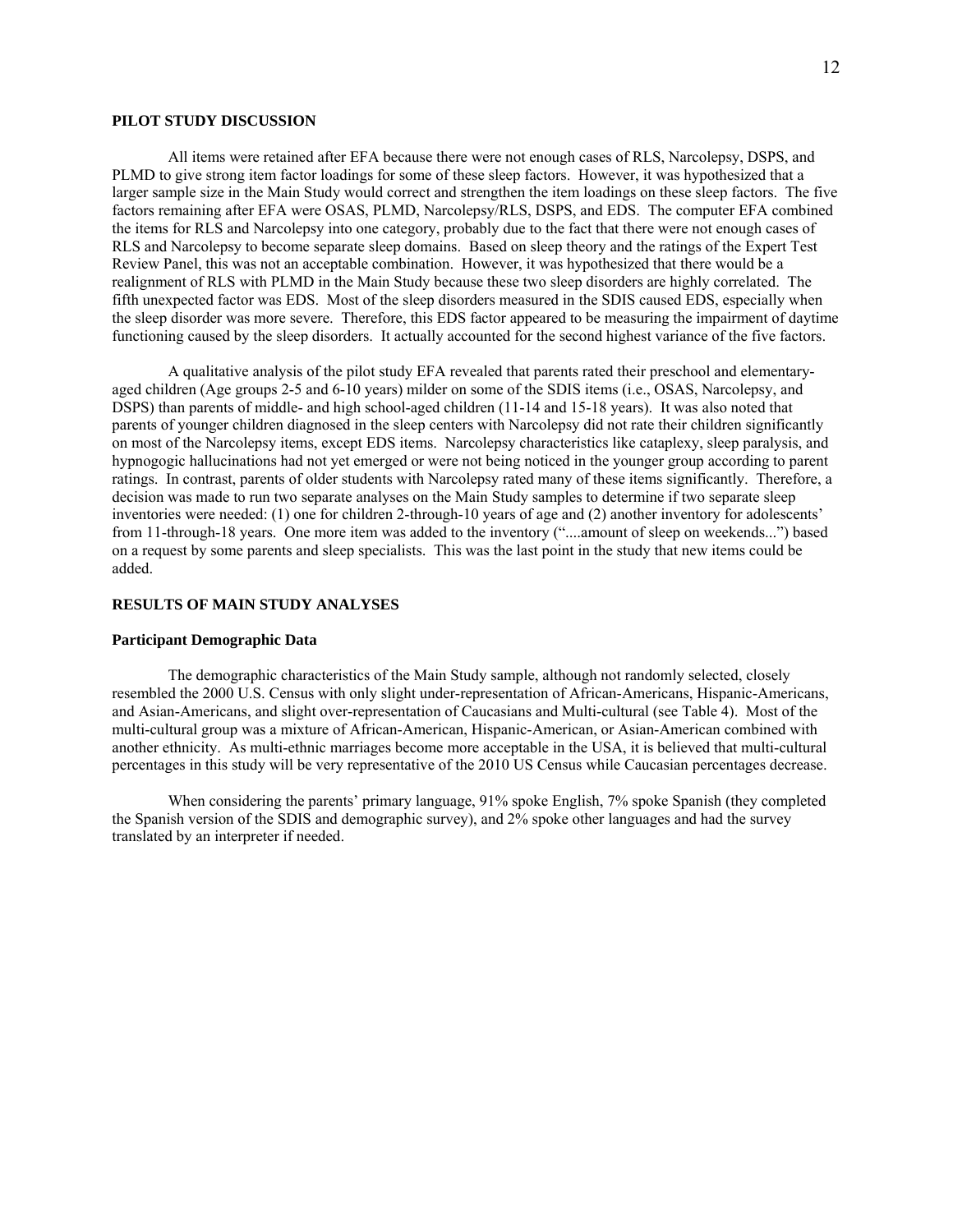### **PILOT STUDY DISCUSSION**

 All items were retained after EFA because there were not enough cases of RLS, Narcolepsy, DSPS, and PLMD to give strong item factor loadings for some of these sleep factors. However, it was hypothesized that a larger sample size in the Main Study would correct and strengthen the item loadings on these sleep factors. The five factors remaining after EFA were OSAS, PLMD, Narcolepsy/RLS, DSPS, and EDS. The computer EFA combined the items for RLS and Narcolepsy into one category, probably due to the fact that there were not enough cases of RLS and Narcolepsy to become separate sleep domains. Based on sleep theory and the ratings of the Expert Test Review Panel, this was not an acceptable combination. However, it was hypothesized that there would be a realignment of RLS with PLMD in the Main Study because these two sleep disorders are highly correlated. The fifth unexpected factor was EDS. Most of the sleep disorders measured in the SDIS caused EDS, especially when the sleep disorder was more severe. Therefore, this EDS factor appeared to be measuring the impairment of daytime functioning caused by the sleep disorders. It actually accounted for the second highest variance of the five factors.

 A qualitative analysis of the pilot study EFA revealed that parents rated their preschool and elementaryaged children (Age groups 2-5 and 6-10 years) milder on some of the SDIS items (i.e., OSAS, Narcolepsy, and DSPS) than parents of middle- and high school-aged children (11-14 and 15-18 years). It was also noted that parents of younger children diagnosed in the sleep centers with Narcolepsy did not rate their children significantly on most of the Narcolepsy items, except EDS items. Narcolepsy characteristics like cataplexy, sleep paralysis, and hypnogogic hallucinations had not yet emerged or were not being noticed in the younger group according to parent ratings. In contrast, parents of older students with Narcolepsy rated many of these items significantly. Therefore, a decision was made to run two separate analyses on the Main Study samples to determine if two separate sleep inventories were needed: (1) one for children 2-through-10 years of age and (2) another inventory for adolescents' from 11-through-18 years. One more item was added to the inventory ("....amount of sleep on weekends...") based on a request by some parents and sleep specialists. This was the last point in the study that new items could be added.

#### **RESULTS OF MAIN STUDY ANALYSES**

### **Participant Demographic Data**

 The demographic characteristics of the Main Study sample, although not randomly selected, closely resembled the 2000 U.S. Census with only slight under-representation of African-Americans, Hispanic-Americans, and Asian-Americans, and slight over-representation of Caucasians and Multi-cultural (see Table 4). Most of the multi-cultural group was a mixture of African-American, Hispanic-American, or Asian-American combined with another ethnicity. As multi-ethnic marriages become more acceptable in the USA, it is believed that multi-cultural percentages in this study will be very representative of the 2010 US Census while Caucasian percentages decrease.

 When considering the parents' primary language, 91% spoke English, 7% spoke Spanish (they completed the Spanish version of the SDIS and demographic survey), and 2% spoke other languages and had the survey translated by an interpreter if needed.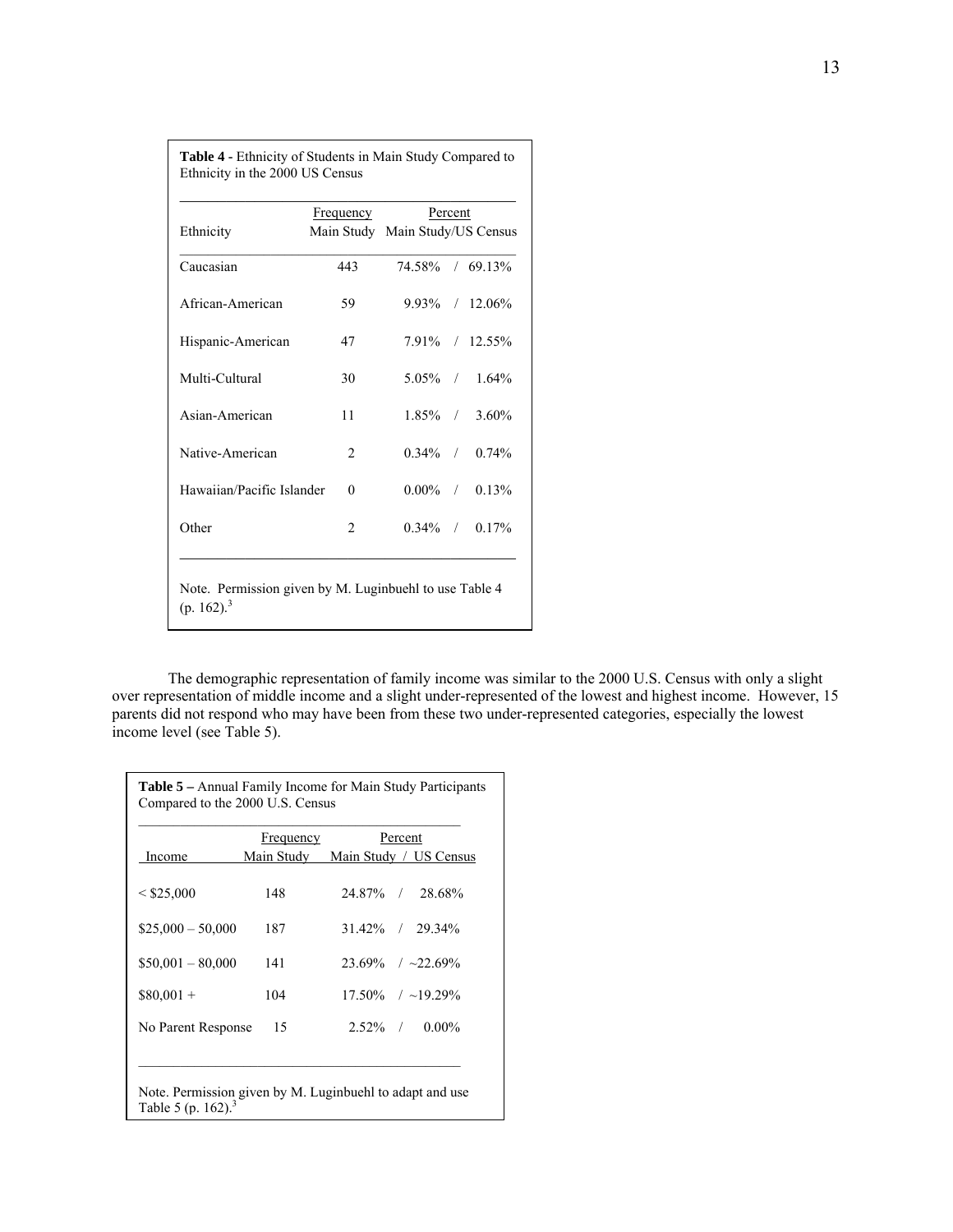|                                                                        | <b>Frequency</b> | Percent                         |  |                     |  |  |
|------------------------------------------------------------------------|------------------|---------------------------------|--|---------------------|--|--|
| Ethnicity                                                              |                  | Main Study Main Study/US Census |  |                     |  |  |
| Caucasian                                                              | 443              | 74 58% / 69 13%                 |  |                     |  |  |
| African-American                                                       | 59               |                                 |  | $9.93\%$ / 12.06%   |  |  |
| Hispanic-American                                                      | 47               |                                 |  | 7.91% / 12.55%      |  |  |
| Multi-Cultural                                                         | 30               |                                 |  | $5.05\%$ / 1.64%    |  |  |
| Asian-American                                                         | 11               |                                 |  | $1.85\%$ / 3.60%    |  |  |
| Native-American                                                        | $\overline{c}$   |                                 |  | $0.34\%$ / $0.74\%$ |  |  |
| Hawaiian/Pacific Islander                                              | $\Omega$         | $0.00\%$                        |  | $/ 0.13\%$          |  |  |
| Other                                                                  | $\overline{c}$   |                                 |  | $0.34\%$ / $0.17\%$ |  |  |
|                                                                        |                  |                                 |  |                     |  |  |
| Note. Permission given by M. Luginbuehl to use Table 4<br>$(p. 162)^3$ |                  |                                 |  |                     |  |  |

**Table 4 -** Ethnicity of Students in Main Study Compared to

Ethnicity in the 2000 US Census

 The demographic representation of family income was similar to the 2000 U.S. Census with only a slight over representation of middle income and a slight under-represented of the lowest and highest income. However, 15 parents did not respond who may have been from these two under-represented categories, especially the lowest income level (see Table 5).

|                    | Frequency                         | Percent                   |  |
|--------------------|-----------------------------------|---------------------------|--|
| Income             | Main Study Main Study / US Census |                           |  |
| < \$25,000         | 148                               | 24.87% / 28.68%           |  |
| $$25,000 - 50,000$ | 187                               | $31.42\%$ / 29.34%        |  |
| $$50,001 - 80,000$ | 141                               | $23.69\%$ / $\sim$ 22.69% |  |
| $$80,001 +$        | 104                               | $17.50\%$ / ~19.29%       |  |
| No Parent Response | 15                                | $2.52\%$ / 0.00%          |  |
|                    |                                   |                           |  |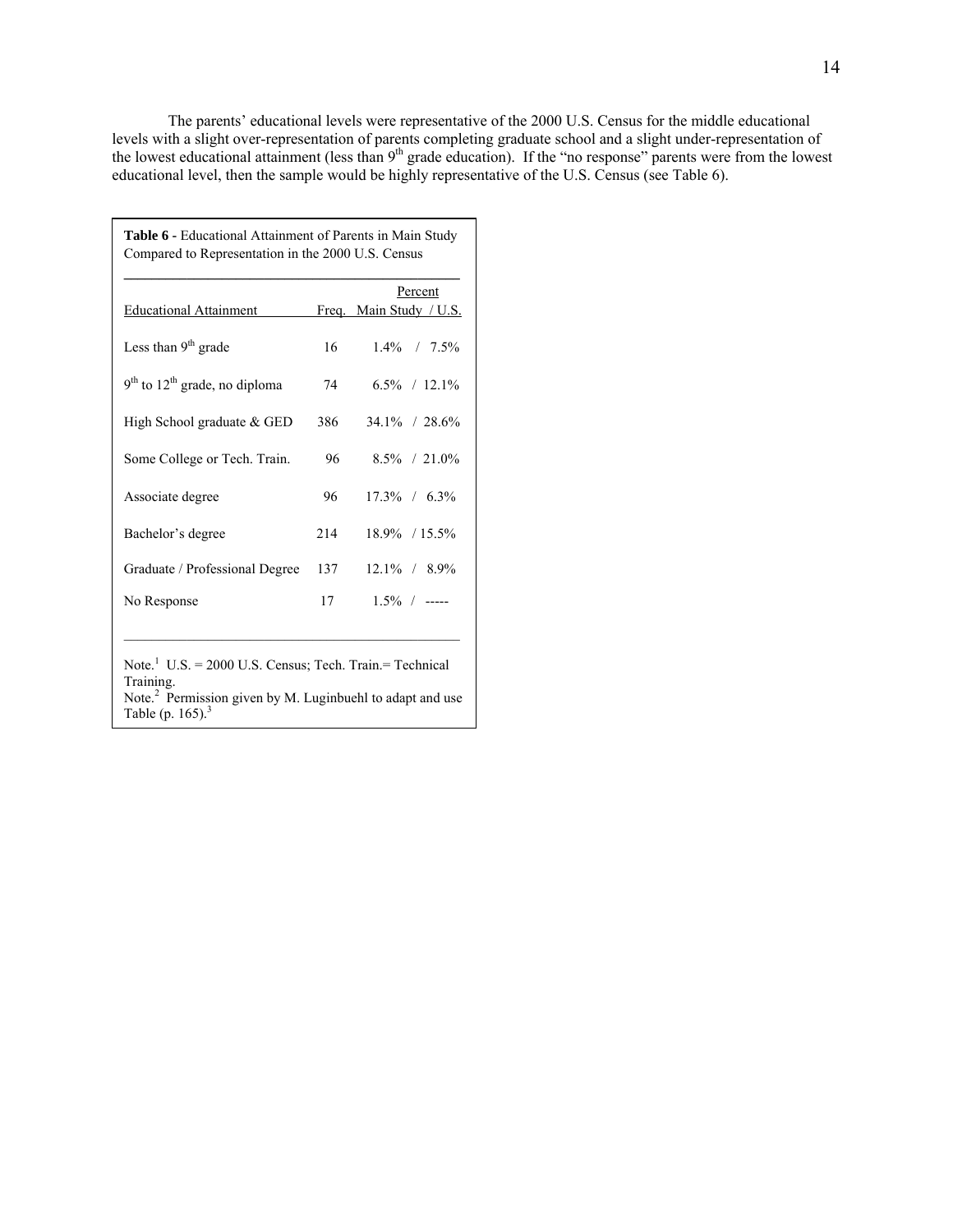The parents' educational levels were representative of the 2000 U.S. Census for the middle educational levels with a slight over-representation of parents completing graduate school and a slight under-representation of the lowest educational attainment (less than  $9<sup>th</sup>$  grade education). If the "no response" parents were from the lowest educational level, then the sample would be highly representative of the U.S. Census (see Table 6).

| <b>Table 6 - Educational Attainment of Parents in Main Study</b> |     |                         |
|------------------------------------------------------------------|-----|-------------------------|
| Compared to Representation in the 2000 U.S. Census               |     |                         |
|                                                                  |     | Percent                 |
| <b>Educational Attainment</b>                                    |     | Freq. Main Study / U.S. |
| Less than $9th$ grade                                            | 16  | $1.4\%$ / 7.5%          |
| $9th$ to $12th$ grade, no diploma                                | 74  | $6.5\%$ / 12.1%         |
| High School graduate & GED                                       | 386 | 34.1% / 28.6%           |
| Some College or Tech. Train.                                     | 96  | $8.5\%$ / 21.0%         |
| Associate degree                                                 | 96  | $17.3\%$ / 6.3%         |
| Bachelor's degree                                                | 214 | 18.9% / 15.5%           |
| Graduate / Professional Degree                                   | 137 | $12.1\%$ / 8.9%         |
| No Response                                                      | 17  | $1.5\%$ / -----         |
|                                                                  |     |                         |

Note.<sup>1</sup> U.S. = 2000 U.S. Census; Tech. Train.= Technical Training.

Note.<sup>2</sup> Permission given by M. Luginbuehl to adapt and use Table (p. 165). $3$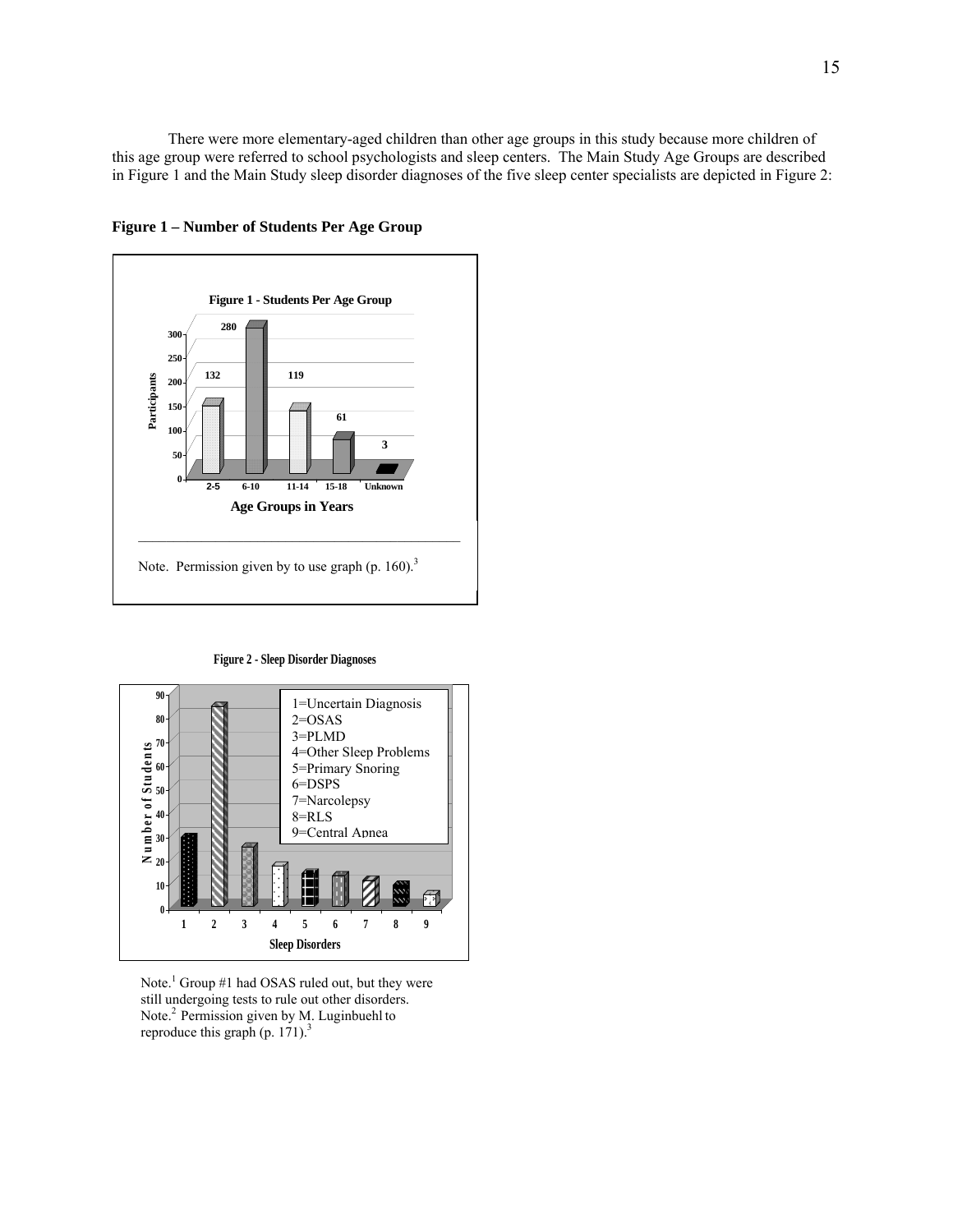There were more elementary-aged children than other age groups in this study because more children of this age group were referred to school psychologists and sleep centers. The Main Study Age Groups are described in Figure 1 and the Main Study sleep disorder diagnoses of the five sleep center specialists are depicted in Figure 2:



**Figure 1 – Number of Students Per Age Group** 

**Figure 2 - Sleep Disorder Diagnoses**



Note.<sup>1</sup> Group #1 had OSAS ruled out, but they were still undergoing tests to rule out other disorders. Note.<sup>2</sup> Permission given by M. Luginbuehl to reproduce this graph (p. 171). $3$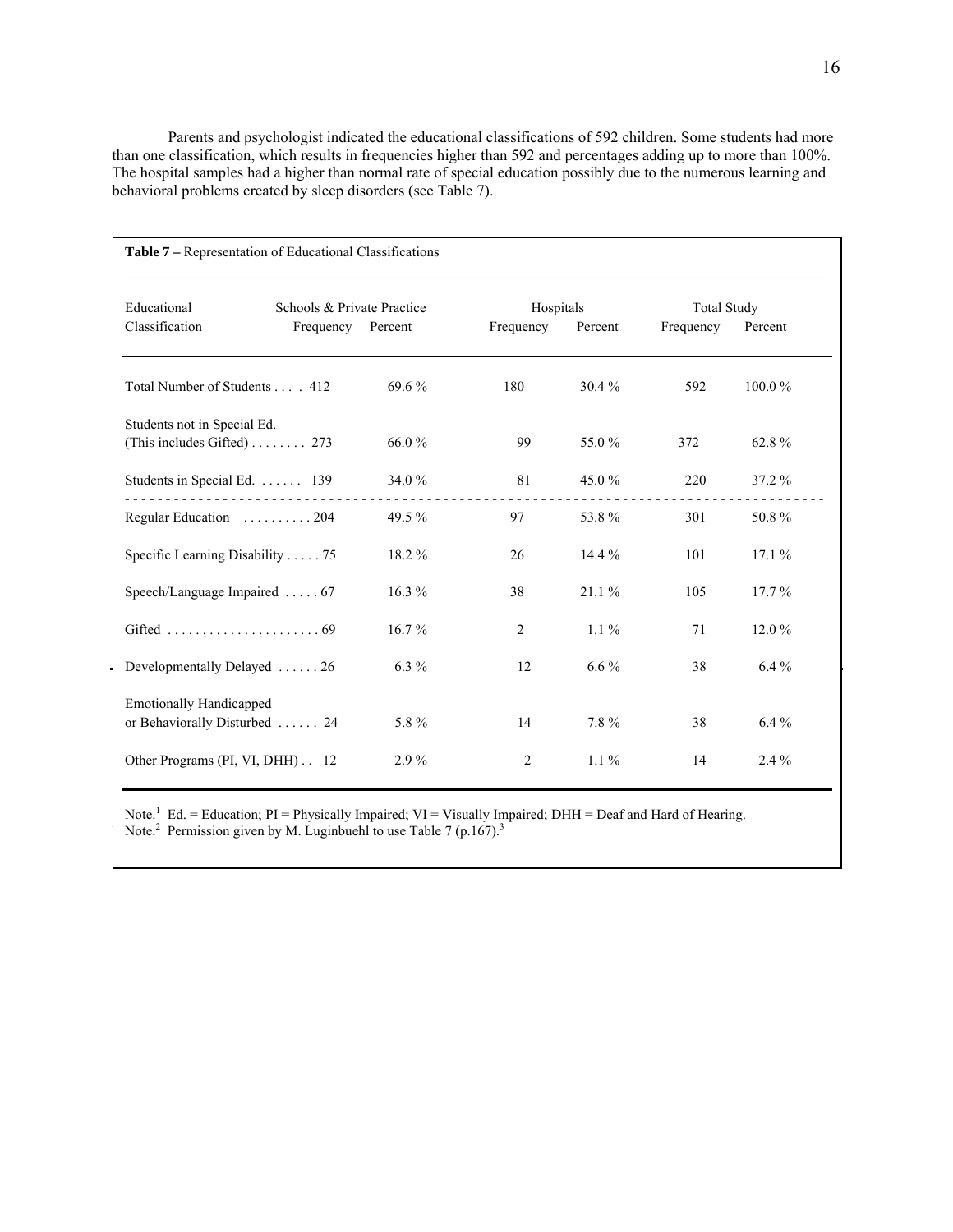Parents and psychologist indicated the educational classifications of 592 children. Some students had more than one classification, which results in frequencies higher than 592 and percentages adding up to more than 100%. The hospital samples had a higher than normal rate of special education possibly due to the numerous learning and behavioral problems created by sleep disorders (see Table 7).

| Table 7 – Representation of Educational Classifications         |                                                 |           |                                                                    |           |     |          |
|-----------------------------------------------------------------|-------------------------------------------------|-----------|--------------------------------------------------------------------|-----------|-----|----------|
| Educational<br>Classification                                   | Schools & Private Practice<br>Frequency Percent | Frequency | Hospitals<br><b>Total Study</b><br>Percent<br>Percent<br>Frequency |           |     |          |
| Total Number of Students 412                                    |                                                 | 69.6 %    | 180                                                                | $30.4 \%$ | 592 | 100.0%   |
| Students not in Special Ed.<br>(This includes Gifted) 273       |                                                 | 66.0%     | 99                                                                 | 55.0 %    | 372 | 62.8%    |
| Students in Special Ed.  139                                    |                                                 | 34.0 %    | 81                                                                 | 45.0 $%$  | 220 | $37.2\%$ |
| Regular Education  204                                          |                                                 | 49.5%     | 97                                                                 | 53.8%     | 301 | 50.8%    |
| Specific Learning Disability 75                                 |                                                 | 18.2 %    | 26                                                                 | $14.4\%$  | 101 | 17.1%    |
| Speech/Language Impaired  67                                    |                                                 | $16.3\%$  | 38                                                                 | $21.1\%$  | 105 | $17.7\%$ |
| Gifted $\ldots \ldots \ldots \ldots \ldots \ldots \ldots$ 69    |                                                 | $16.7\%$  | 2                                                                  | $1.1\%$   | 71  | $12.0\%$ |
| Developmentally Delayed 26                                      |                                                 | $6.3\%$   | 12                                                                 | $6.6\%$   | 38  | $6.4\%$  |
| <b>Emotionally Handicapped</b><br>or Behaviorally Disturbed  24 |                                                 | 5.8%      | 14                                                                 | $7.8 \%$  | 38  | $6.4\%$  |
| Other Programs (PI, VI, DHH) 12                                 |                                                 | $2.9\%$   | 2                                                                  | $1.1\%$   | 14  | $2.4\%$  |

Parents and psychologists were asked to report if the children had been diagnosed with any DSM-IV or Note.<sup>1</sup> Ed. = Education; PI = Physically Impaired; VI = Visually Impaired; DHH = Deaf and Hard of Hearing. Note.<sup>2</sup> Permission given by M. Luginbuehl to use Table 7 (p.167).<sup>3</sup>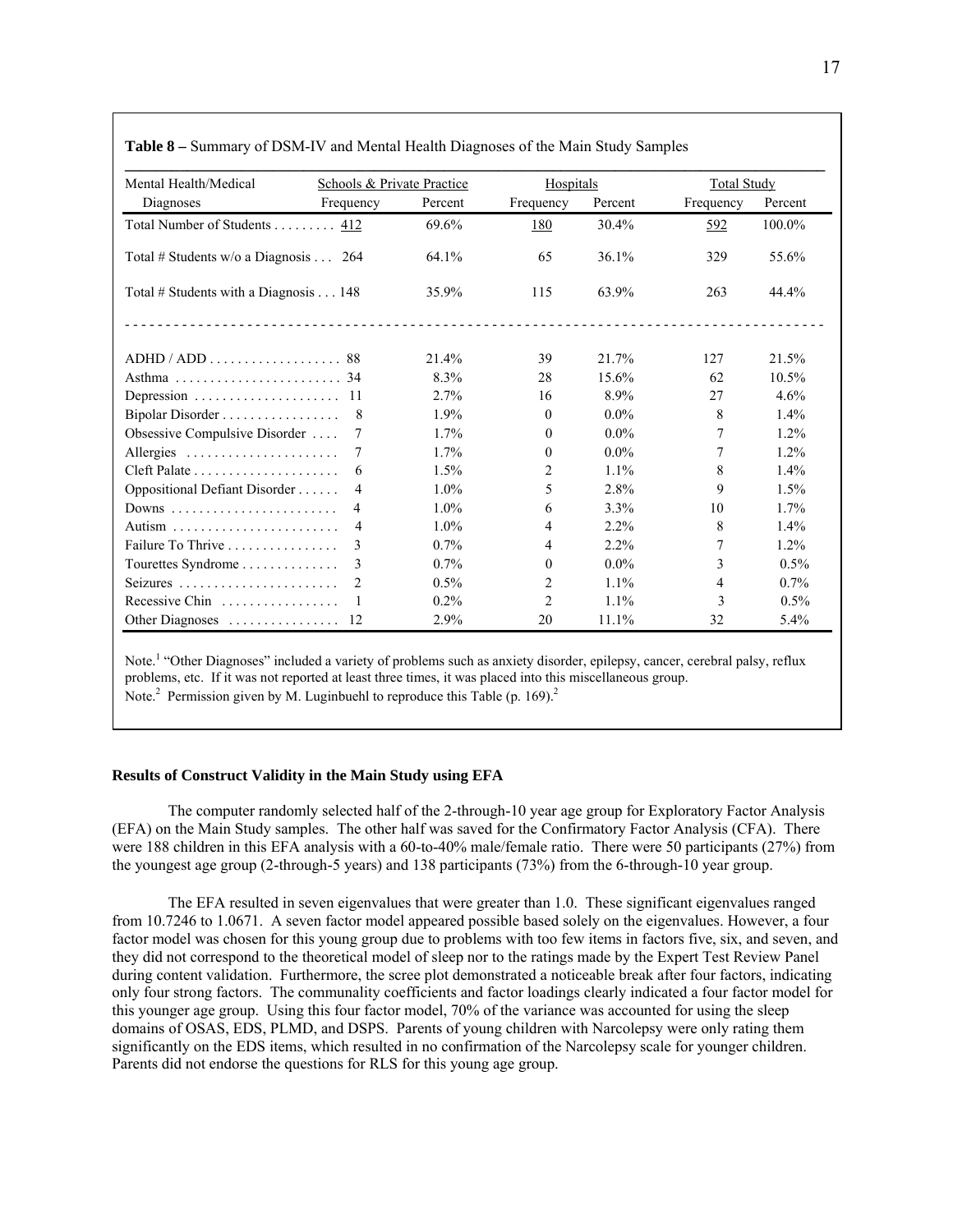| Mental Health/Medical                        | <b>Schools &amp; Private Practice</b> |         | Hospitals      |         | <b>Total Study</b> |         |
|----------------------------------------------|---------------------------------------|---------|----------------|---------|--------------------|---------|
| Diagnoses                                    | Frequency                             | Percent | Frequency      | Percent | Frequency          | Percent |
| Total Number of Students 412                 |                                       | 69.6%   | 180            | 30.4%   | 592                | 100.0%  |
| Total # Students w/o a Diagnosis 264         |                                       | 64.1%   | 65             | 36.1%   | 329                | 55.6%   |
| Total # Students with a Diagnosis 148        |                                       | 35.9%   | 115            | 63.9%   | 263                | 44.4%   |
|                                              |                                       |         |                |         |                    |         |
| ADHD / ADD                                   |                                       | 21.4%   | 39             | 21.7%   | 127                | 21.5%   |
|                                              |                                       | 8.3%    | 28             | 15.6%   | 62                 | 10.5%   |
|                                              |                                       | 2.7%    | 16             | 8.9%    | 27                 | 4.6%    |
| Bipolar Disorder                             | 8                                     | 1.9%    | $\theta$       | $0.0\%$ | 8                  | 1.4%    |
| Obsessive Compulsive Disorder                |                                       | 1.7%    | $\theta$       | $0.0\%$ | 7                  | 1.2%    |
| Allergies                                    | 7                                     | 1.7%    | $\theta$       | $0.0\%$ | 7                  | 1.2%    |
|                                              | 6                                     | 1.5%    | 2              | 1.1%    | 8                  | 1.4%    |
| Oppositional Defiant Disorder                | 4                                     | $1.0\%$ | 5              | 2.8%    | 9                  | 1.5%    |
|                                              | $\overline{4}$                        | $1.0\%$ | 6              | 3.3%    | 10                 | 1.7%    |
|                                              | 4                                     | $1.0\%$ | 4              | 2.2%    | 8                  | 1.4%    |
| Failure To Thrive                            | 3                                     | 0.7%    | $\overline{4}$ | 2.2%    | 7                  | 1.2%    |
| Tourettes Syndrome                           | 3                                     | 0.7%    | $\theta$       | $0.0\%$ | 3                  | 0.5%    |
| Seizures                                     |                                       | 0.5%    | 2              | 1.1%    | 4                  | 0.7%    |
| Recessive Chin $\ldots \ldots \ldots \ldots$ |                                       | $0.2\%$ | 2              | 1.1%    | 3                  | $0.5\%$ |
|                                              |                                       | 2.9%    | 20             | 11.1%   | 32                 | 5.4%    |

**Table 8 –** Summary of DSM-IV and Mental Health Diagnoses of the Main Study Samples

Note.<sup>1</sup> "Other Diagnoses" included a variety of problems such as anxiety disorder, epilepsy, cancer, cerebral palsy, reflux problems, etc. If it was not reported at least three times, it was placed into this miscellaneous group. Note.<sup>2</sup> Permission given by M. Luginbuehl to reproduce this Table (p. 169).<sup>2</sup>

#### **Results of Construct Validity in the Main Study using EFA**

 The computer randomly selected half of the 2-through-10 year age group for Exploratory Factor Analysis (EFA) on the Main Study samples. The other half was saved for the Confirmatory Factor Analysis (CFA). There were 188 children in this EFA analysis with a 60-to-40% male/female ratio. There were 50 participants (27%) from the youngest age group (2-through-5 years) and 138 participants (73%) from the 6-through-10 year group.

 The EFA resulted in seven eigenvalues that were greater than 1.0. These significant eigenvalues ranged from 10.7246 to 1.0671. A seven factor model appeared possible based solely on the eigenvalues. However, a four factor model was chosen for this young group due to problems with too few items in factors five, six, and seven, and they did not correspond to the theoretical model of sleep nor to the ratings made by the Expert Test Review Panel during content validation. Furthermore, the scree plot demonstrated a noticeable break after four factors, indicating only four strong factors. The communality coefficients and factor loadings clearly indicated a four factor model for this younger age group. Using this four factor model, 70% of the variance was accounted for using the sleep domains of OSAS, EDS, PLMD, and DSPS. Parents of young children with Narcolepsy were only rating them significantly on the EDS items, which resulted in no confirmation of the Narcolepsy scale for younger children. Parents did not endorse the questions for RLS for this young age group.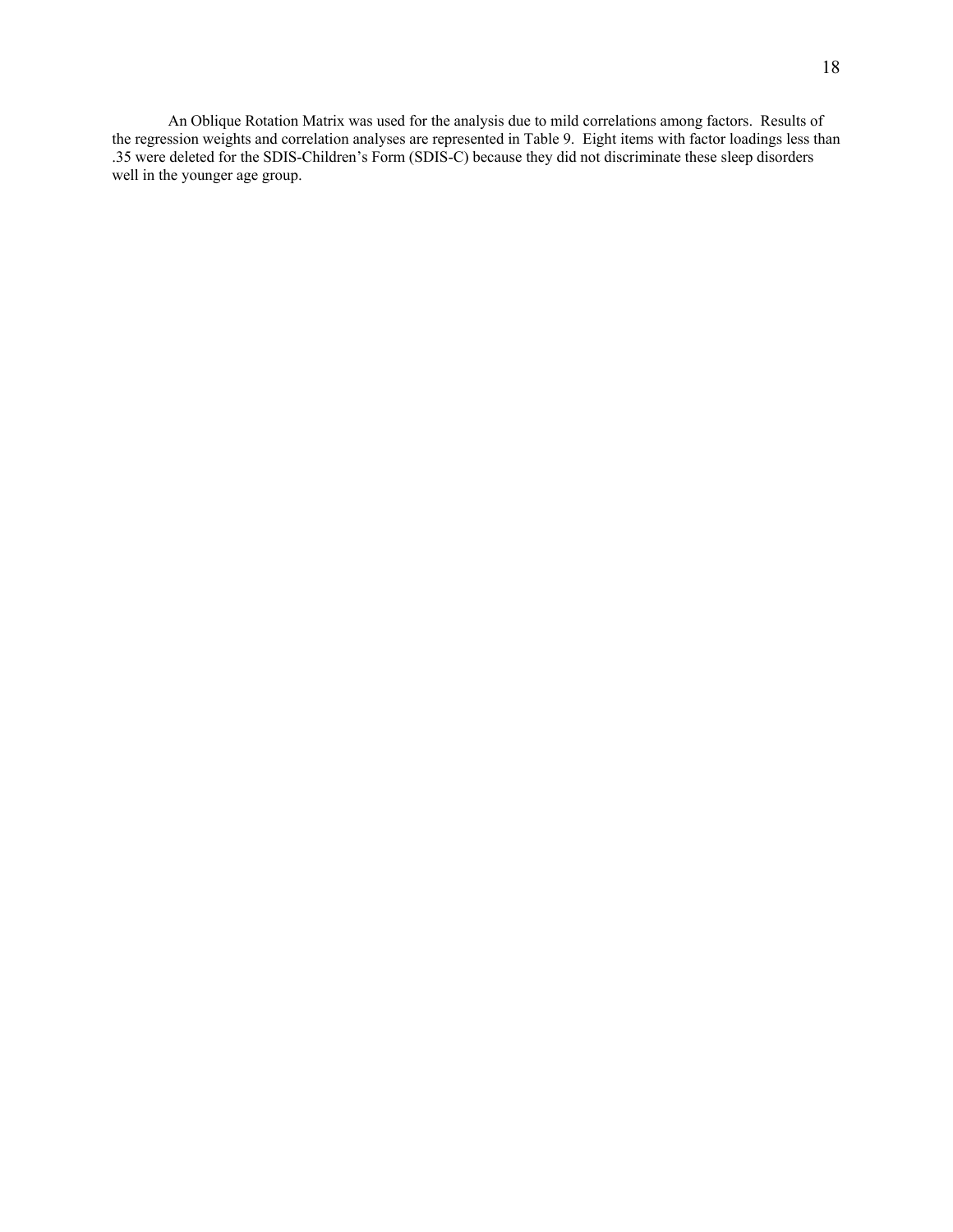An Oblique Rotation Matrix was used for the analysis due to mild correlations among factors. Results of the regression weights and correlation analyses are represented in Table 9. Eight items with factor loadings less than .35 were deleted for the SDIS-Children's Form (SDIS-C) because they did not discriminate these sleep disorders well in the younger age group.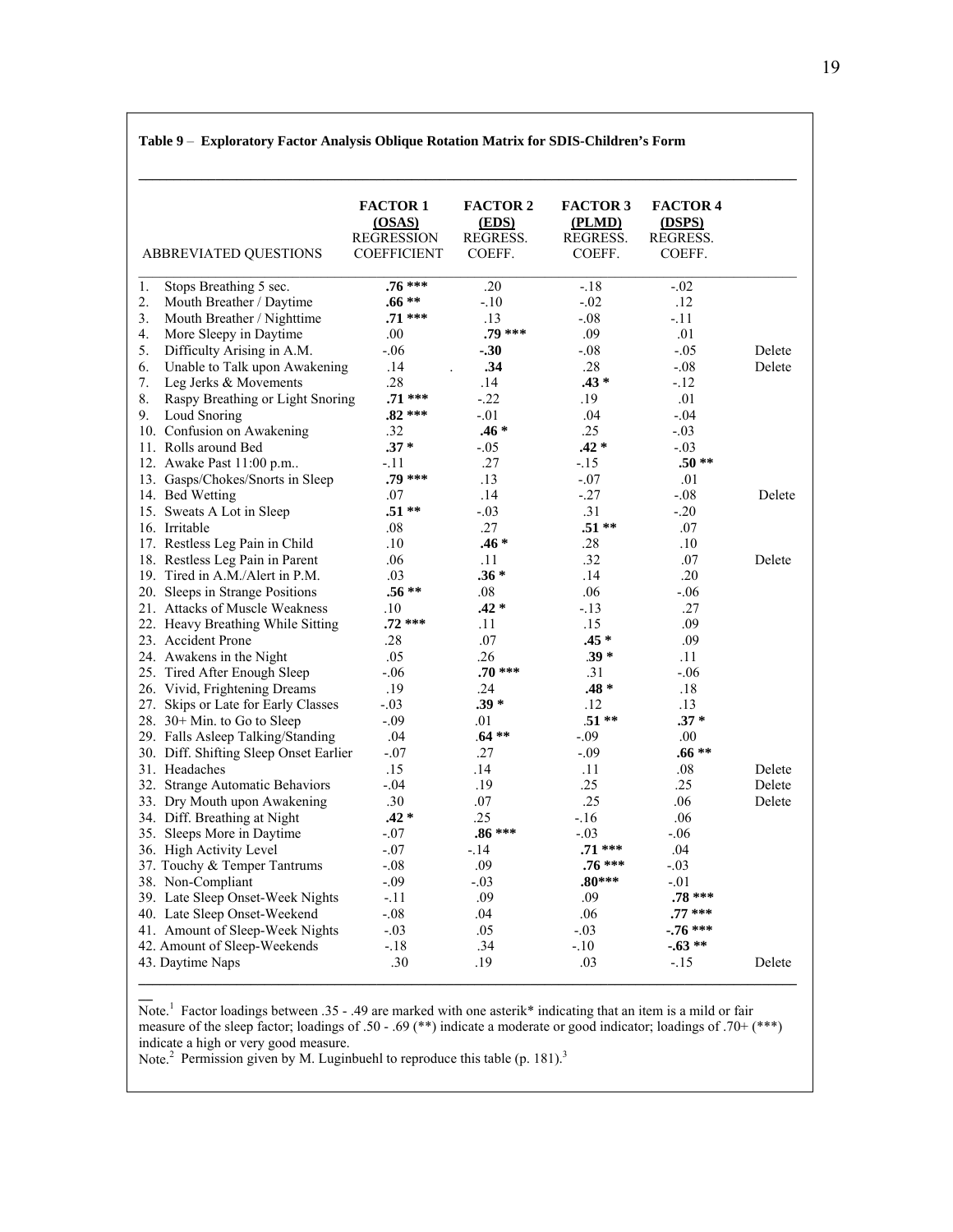|    | ABBREVIATED QUESTIONS                  | <b>FACTOR 1</b><br>(OSAS)<br><b>REGRESSION</b><br><b>COEFFICIENT</b> | <b>FACTOR 2</b><br>(EDS)<br>REGRESS.<br>COEFF. | <b>FACTOR 3</b><br>(PLMD)<br>REGRESS.<br>COEFF. | <b>FACTOR 4</b><br>(DSPS)<br>REGRESS.<br>COEFF. |        |
|----|----------------------------------------|----------------------------------------------------------------------|------------------------------------------------|-------------------------------------------------|-------------------------------------------------|--------|
| 1. | Stops Breathing 5 sec.                 | $.76***$                                                             | .20                                            | $-.18$                                          | $-.02$                                          |        |
| 2. | Mouth Breather / Daytime               | $.66**$                                                              | $-.10$                                         | $-.02$                                          | .12                                             |        |
| 3. | Mouth Breather / Nighttime             | $.71***$                                                             | .13                                            | $-.08$                                          | $-11$                                           |        |
| 4. | More Sleepy in Daytime                 | .00                                                                  | .79 ***                                        | .09                                             | .01                                             |        |
| 5. | Difficulty Arising in A.M.             | $-.06$                                                               | $-.30$                                         | $-.08$                                          | $-.05$                                          | Delete |
| 6. | Unable to Talk upon Awakening          | .14                                                                  | .34                                            | .28                                             | $-.08$                                          | Delete |
| 7. | Leg Jerks & Movements                  | .28                                                                  | .14                                            | $.43*$                                          | $-12$                                           |        |
| 8. | Raspy Breathing or Light Snoring       | $.71***$                                                             | $-22$                                          | .19                                             | .01                                             |        |
| 9. | Loud Snoring                           | $.82***$                                                             | $-.01$                                         | .04                                             | $-.04$                                          |        |
|    | 10. Confusion on Awakening             | .32                                                                  | $.46*$                                         | .25                                             | $-.03$                                          |        |
|    | 11. Rolls around Bed                   | $.37*$                                                               | $-.05$                                         | $.42 *$                                         | $-.03$                                          |        |
|    | 12. Awake Past 11:00 p.m               | -.11                                                                 | .27                                            | $-15$                                           | $.50**$                                         |        |
|    | 13. Gasps/Chokes/Snorts in Sleep       | $.79***$                                                             | .13                                            | $-.07$                                          | .01                                             |        |
|    | 14. Bed Wetting                        | .07                                                                  | .14                                            | $-27$                                           | $-.08$                                          | Delete |
|    | 15. Sweats A Lot in Sleep              | $.51**$                                                              | $-.03$                                         | .31                                             | $-.20$                                          |        |
|    | 16. Irritable                          | .08                                                                  | .27                                            | $.51**$                                         | .07                                             |        |
|    | 17. Restless Leg Pain in Child         | .10                                                                  | $.46*$                                         | .28                                             | .10                                             |        |
|    | 18. Restless Leg Pain in Parent        | .06                                                                  | .11                                            | .32                                             | .07                                             | Delete |
|    | 19. Tired in A.M./Alert in P.M.        | .03                                                                  | $.36*$                                         | .14                                             | .20                                             |        |
|    | 20. Sleeps in Strange Positions        | $.56**$                                                              | .08                                            | .06                                             | $-.06$                                          |        |
|    | 21. Attacks of Muscle Weakness         | .10                                                                  | $.42 *$                                        | $-.13$                                          | .27                                             |        |
|    | 22. Heavy Breathing While Sitting      | $.72***$                                                             | .11                                            | .15                                             | .09                                             |        |
|    | 23. Accident Prone                     | .28                                                                  | .07                                            | $.45*$                                          | .09                                             |        |
|    | 24. Awakens in the Night               | .05                                                                  | .26                                            | $.39*$                                          | .11                                             |        |
|    | 25. Tired After Enough Sleep           | $-.06$                                                               | $.70***$                                       | .31                                             | $-.06$                                          |        |
|    | 26. Vivid, Frightening Dreams          | .19                                                                  | .24                                            | $.48 *$                                         | .18                                             |        |
|    | 27. Skips or Late for Early Classes    | $-.03$                                                               | $.39*$                                         | .12                                             | .13                                             |        |
|    | 28. $30+$ Min. to Go to Sleep          | $-.09$                                                               | .01                                            | $.51**$                                         | $.37*$                                          |        |
|    | 29. Falls Asleep Talking/Standing      | .04                                                                  | $.64**$                                        | $-.09$                                          | $.00\,$                                         |        |
|    | 30. Diff. Shifting Sleep Onset Earlier | $-.07$                                                               | .27                                            | $-.09$                                          | $.66**$                                         |        |
|    | 31. Headaches                          | .15                                                                  | .14                                            | .11                                             | .08                                             | Delete |
|    | 32. Strange Automatic Behaviors        | $-.04$                                                               | .19                                            | .25                                             | .25                                             | Delete |
|    | 33. Dry Mouth upon Awakening           | .30                                                                  | .07                                            | .25                                             | .06                                             | Delete |
|    | 34. Diff. Breathing at Night           | $.42*$                                                               | .25                                            | $-.16$                                          | .06                                             |        |
|    | 35. Sleeps More in Daytime             | $-.07$                                                               | .86 ***                                        | -.03                                            | $-.06$                                          |        |
|    | 36. High Activity Level                | $-.07$                                                               | $-14$                                          | $.71***$                                        | .04                                             |        |
|    | 37. Touchy & Temper Tantrums           | $-.08$                                                               | .09                                            | $.76***$                                        | $-.03$                                          |        |
|    | 38. Non-Compliant                      | $-.09$                                                               | $-.03$                                         | $.80***$                                        | $-.01$                                          |        |
|    | 39. Late Sleep Onset-Week Nights       | $-.11$                                                               | .09                                            | .09                                             | $.78***$                                        |        |
|    | 40. Late Sleep Onset-Weekend           | $-.08$                                                               | .04                                            | .06                                             | $.77***$                                        |        |
|    | 41. Amount of Sleep-Week Nights        | $-.03$                                                               | .05                                            | $-.03$                                          | $-.76***$                                       |        |
|    | 42. Amount of Sleep-Weekends           | $-18$                                                                | .34                                            | $-.10$                                          | $-.63**$                                        |        |
|    | 43. Daytime Naps                       | .30                                                                  | .19                                            | .03                                             | $-15$                                           | Delete |

Note.<sup>1</sup> Factor loadings between .35 - .49 are marked with one asterik\* indicating that an item is a mild or fair measure of the sleep factor; loadings of .50 - .69 (\*\*) indicate a moderate or good indicator; loadings of .70+ (\*\*\*) indicate a high or very good measure.

Note.<sup>2</sup> Permission given by M. Luginbuehl to reproduce this table (p. 181).<sup>3</sup>

**\_\_**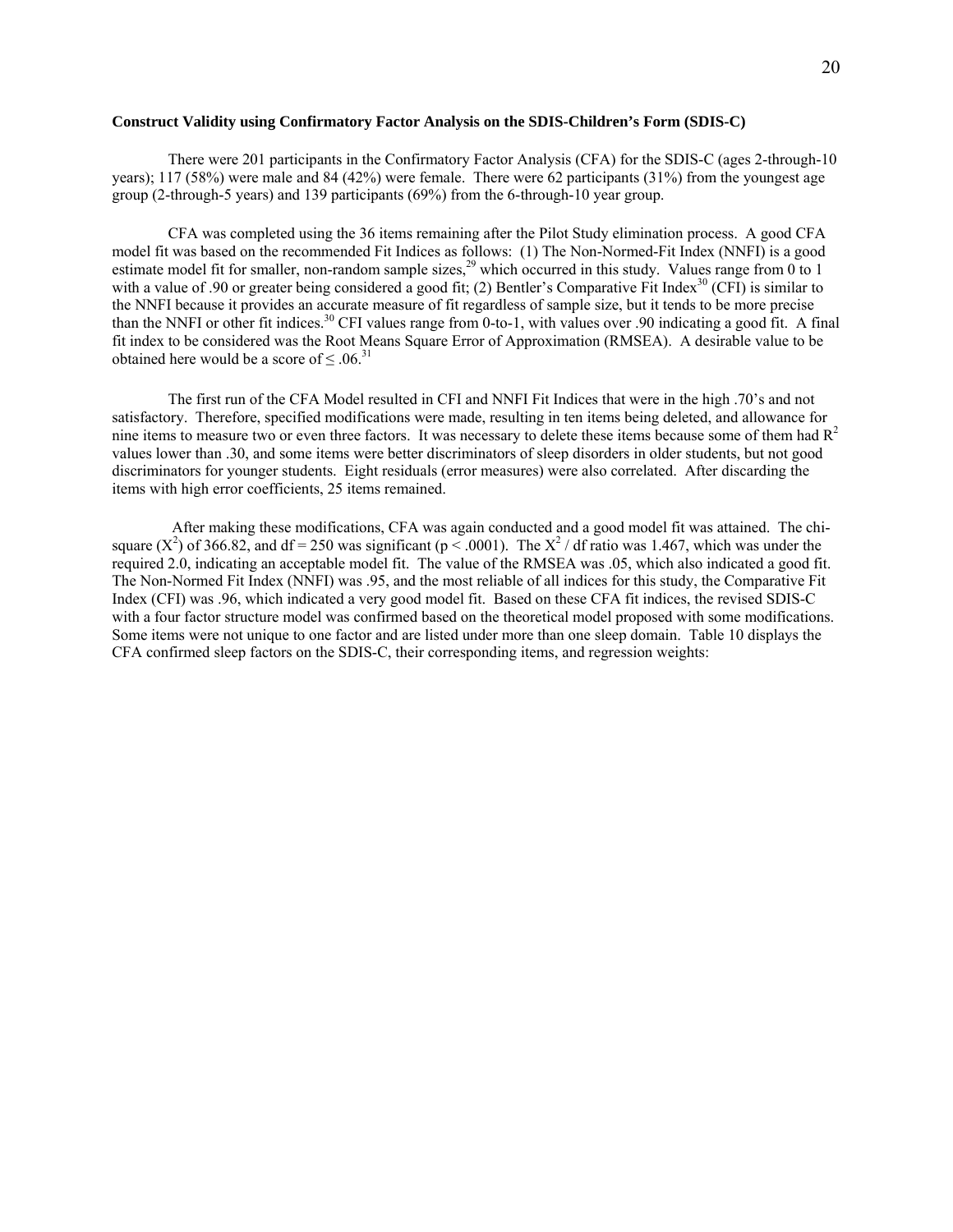## **Construct Validity using Confirmatory Factor Analysis on the SDIS-Children's Form (SDIS-C)**

 There were 201 participants in the Confirmatory Factor Analysis (CFA) for the SDIS-C (ages 2-through-10 years); 117 (58%) were male and 84 (42%) were female. There were 62 participants (31%) from the youngest age group (2-through-5 years) and 139 participants (69%) from the 6-through-10 year group.

 CFA was completed using the 36 items remaining after the Pilot Study elimination process. A good CFA model fit was based on the recommended Fit Indices as follows: (1) The Non-Normed-Fit Index (NNFI) is a good estimate model fit for smaller, non-random sample sizes,<sup>29</sup> which occurred in this study. Values range from 0 to 1 with a value of .90 or greater being considered a good fit; (2) Bentler's Comparative Fit Index<sup>30</sup> (CFI) is similar to the NNFI because it provides an accurate measure of fit regardless of sample size, but it tends to be more precise than the NNFI or other fit indices.<sup>30</sup> CFI values range from 0-to-1, with values over .90 indicating a good fit. A final fit index to be considered was the Root Means Square Error of Approximation (RMSEA). A desirable value to be obtained here would be a score of  $\leq 0.06$ .<sup>31</sup>

 The first run of the CFA Model resulted in CFI and NNFI Fit Indices that were in the high .70's and not satisfactory. Therefore, specified modifications were made, resulting in ten items being deleted, and allowance for nine items to measure two or even three factors. It was necessary to delete these items because some of them had  $R<sup>2</sup>$ values lower than .30, and some items were better discriminators of sleep disorders in older students, but not good discriminators for younger students. Eight residuals (error measures) were also correlated. After discarding the items with high error coefficients, 25 items remained.

 After making these modifications, CFA was again conducted and a good model fit was attained. The chisquare (X<sup>2</sup>) of 366.82, and df = 250 was significant ( $p < .0001$ ). The X<sup>2</sup> / df ratio was 1.467, which was under the required 2.0, indicating an acceptable model fit. The value of the RMSEA was .05, which also indicated a good fit. The Non-Normed Fit Index (NNFI) was .95, and the most reliable of all indices for this study, the Comparative Fit Index (CFI) was .96, which indicated a very good model fit. Based on these CFA fit indices, the revised SDIS-C with a four factor structure model was confirmed based on the theoretical model proposed with some modifications. Some items were not unique to one factor and are listed under more than one sleep domain. Table 10 displays the CFA confirmed sleep factors on the SDIS-C, their corresponding items, and regression weights: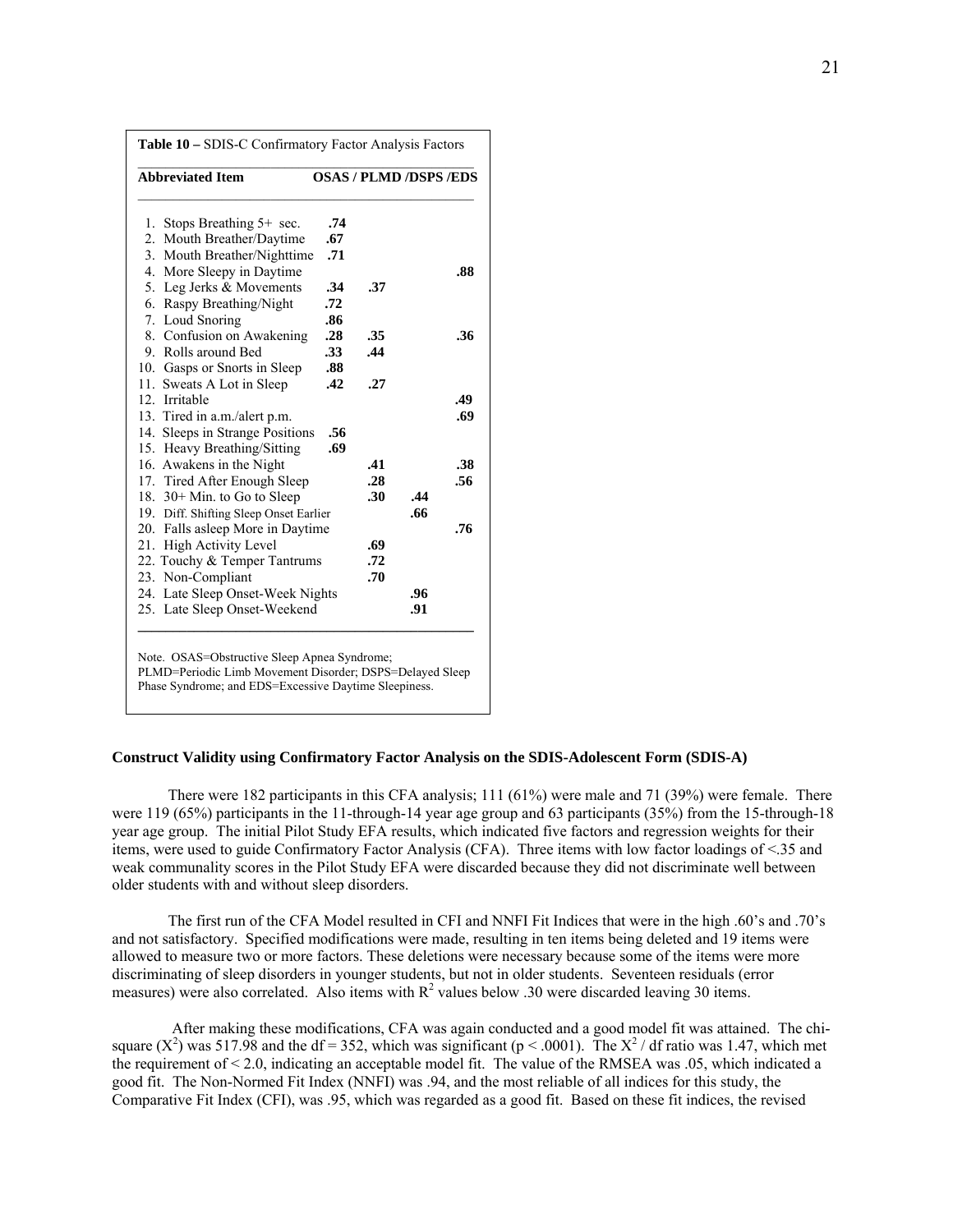| .74                                    |                                        |     |                               |
|----------------------------------------|----------------------------------------|-----|-------------------------------|
| .67                                    |                                        |     |                               |
| 3. Mouth Breather/Nighttime<br>.71     |                                        |     |                               |
|                                        |                                        |     | .88                           |
| .34                                    | .37                                    |     |                               |
| .72                                    |                                        |     |                               |
| .86                                    |                                        |     |                               |
| .28                                    | .35                                    |     | .36                           |
| .33                                    | .44                                    |     |                               |
| .88                                    |                                        |     |                               |
| .42                                    | .27                                    |     |                               |
|                                        |                                        |     | .49                           |
|                                        |                                        |     | .69                           |
| 14. Sleeps in Strange Positions<br>.56 |                                        |     |                               |
| .69                                    |                                        |     |                               |
|                                        | .41                                    |     | .38                           |
|                                        | .28                                    |     | .56                           |
|                                        | .30                                    | .44 |                               |
|                                        |                                        | .66 |                               |
| 20. Falls asleep More in Daytime       |                                        |     | .76                           |
|                                        | .69                                    |     |                               |
| 22. Touchy & Temper Tantrums           | .72                                    |     |                               |
|                                        | .70                                    |     |                               |
| 24. Late Sleep Onset-Week Nights       |                                        | .96 |                               |
| 25. Late Sleep Onset-Weekend           |                                        | .91 |                               |
| 17. Tired After Enough Sleep           | 19. Diff. Shifting Sleep Onset Earlier |     | <b>OSAS / PLMD /DSPS /EDS</b> |

**Construct Validity using Confirmatory Factor Analysis on the SDIS-Adolescent Form (SDIS-A)** 

 There were 182 participants in this CFA analysis; 111 (61%) were male and 71 (39%) were female. There were 119 (65%) participants in the 11-through-14 year age group and 63 participants (35%) from the 15-through-18 year age group. The initial Pilot Study EFA results, which indicated five factors and regression weights for their items, were used to guide Confirmatory Factor Analysis (CFA). Three items with low factor loadings of <.35 and weak communality scores in the Pilot Study EFA were discarded because they did not discriminate well between older students with and without sleep disorders.

The first run of the CFA Model resulted in CFI and NNFI Fit Indices that were in the high .60's and .70's and not satisfactory. Specified modifications were made, resulting in ten items being deleted and 19 items were allowed to measure two or more factors. These deletions were necessary because some of the items were more discriminating of sleep disorders in younger students, but not in older students. Seventeen residuals (error measures) were also correlated. Also items with  $R^2$  values below .30 were discarded leaving 30 items.

 After making these modifications, CFA was again conducted and a good model fit was attained. The chisquare  $(X^2)$  was 517.98 and the df = 352, which was significant (p < .0001). The  $X^2$  / df ratio was 1.47, which met the requirement of < 2.0, indicating an acceptable model fit. The value of the RMSEA was .05, which indicated a good fit. The Non-Normed Fit Index (NNFI) was .94, and the most reliable of all indices for this study, the Comparative Fit Index (CFI), was .95, which was regarded as a good fit. Based on these fit indices, the revised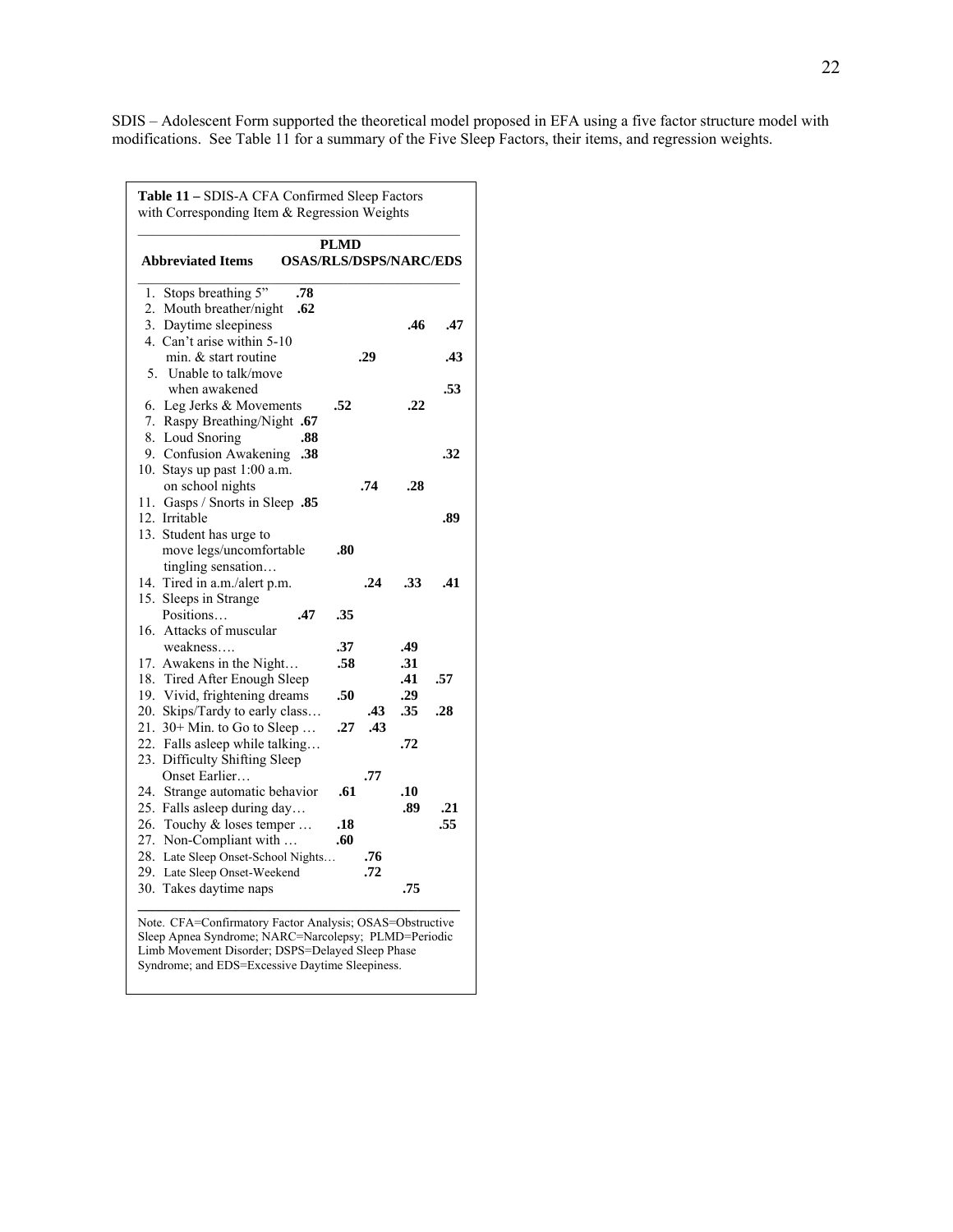SDIS – Adolescent Form supported the theoretical model proposed in EFA using a five factor structure model with modifications. See Table 11 for a summary of the Five Sleep Factors, their items, and regression weights.

| <b>Abbreviated Items</b><br><b>OSAS/RLS/DSPS/NARC/EDS</b>       | <b>PLMD</b> |     |            |     |
|-----------------------------------------------------------------|-------------|-----|------------|-----|
|                                                                 |             |     |            |     |
| Stops breathing 5"<br>.78<br>1.<br>.62                          |             |     |            |     |
| 2. Mouth breather/night<br>3. Daytime sleepiness                |             |     | .46        | .47 |
| 4. Can't arise within 5-10                                      |             |     |            |     |
| min. & start routine                                            |             | .29 |            | .43 |
| 5. Unable to talk/move                                          |             |     |            |     |
| when awakened                                                   |             |     |            | .53 |
| 6. Leg Jerks & Movements                                        | .52         |     | .22        |     |
| 7. Raspy Breathing/Night .67                                    |             |     |            |     |
| 8. Loud Snoring<br>.88                                          |             |     |            |     |
| 9. Confusion Awakening<br>.38                                   |             |     |            | .32 |
| 10. Stays up past 1:00 a.m.                                     |             |     |            |     |
| on school nights                                                |             | .74 | .28        |     |
| 11. Gasps / Snorts in Sleep .85                                 |             |     |            |     |
| 12. Irritable                                                   |             |     |            | .89 |
| 13. Student has urge to                                         |             |     |            |     |
| move legs/uncomfortable                                         | .80         |     |            |     |
| tingling sensation                                              |             |     |            |     |
| 14. Tired in a.m./alert p.m.                                    |             | .24 | .33        | .41 |
| 15. Sleeps in Strange                                           |             |     |            |     |
| Positions<br>.47                                                | .35         |     |            |     |
| 16. Attacks of muscular                                         |             |     |            |     |
| weakness                                                        | .37         |     | .49        |     |
| 17. Awakens in the Night                                        | .58         |     | .31        |     |
| 18. Tired After Enough Sleep                                    |             |     | .41        | .57 |
| 19. Vivid, frightening dreams                                   | .50         | .43 | .29<br>.35 | .28 |
| 20. Skips/Tardy to early class<br>21. $30+$ Min. to Go to Sleep | .27         | .43 |            |     |
| 22. Falls asleep while talking                                  |             |     | .72        |     |
| 23. Difficulty Shifting Sleep                                   |             |     |            |     |
| Onset Earlier                                                   |             | .77 |            |     |
| 24. Strange automatic behavior                                  | .61         |     | .10        |     |
| 25. Falls asleep during day                                     |             |     | .89        | .21 |
| 26. Touchy & loses temper                                       | .18         |     |            | .55 |
| 27. Non-Compliant with                                          | .60         |     |            |     |
| 28. Late Sleep Onset-School Nights                              |             | .76 |            |     |
| 29. Late Sleep Onset-Weekend                                    |             | .72 |            |     |
| 30. Takes daytime naps                                          |             |     | .75        |     |

Note. CFA=Confirmatory Factor Analysis; OSAS=Obstructive Sleep Apnea Syndrome; NARC=Narcolepsy; PLMD=Periodic Limb Movement Disorder; DSPS=Delayed Sleep Phase Syndrome; and EDS=Excessive Daytime Sleepiness.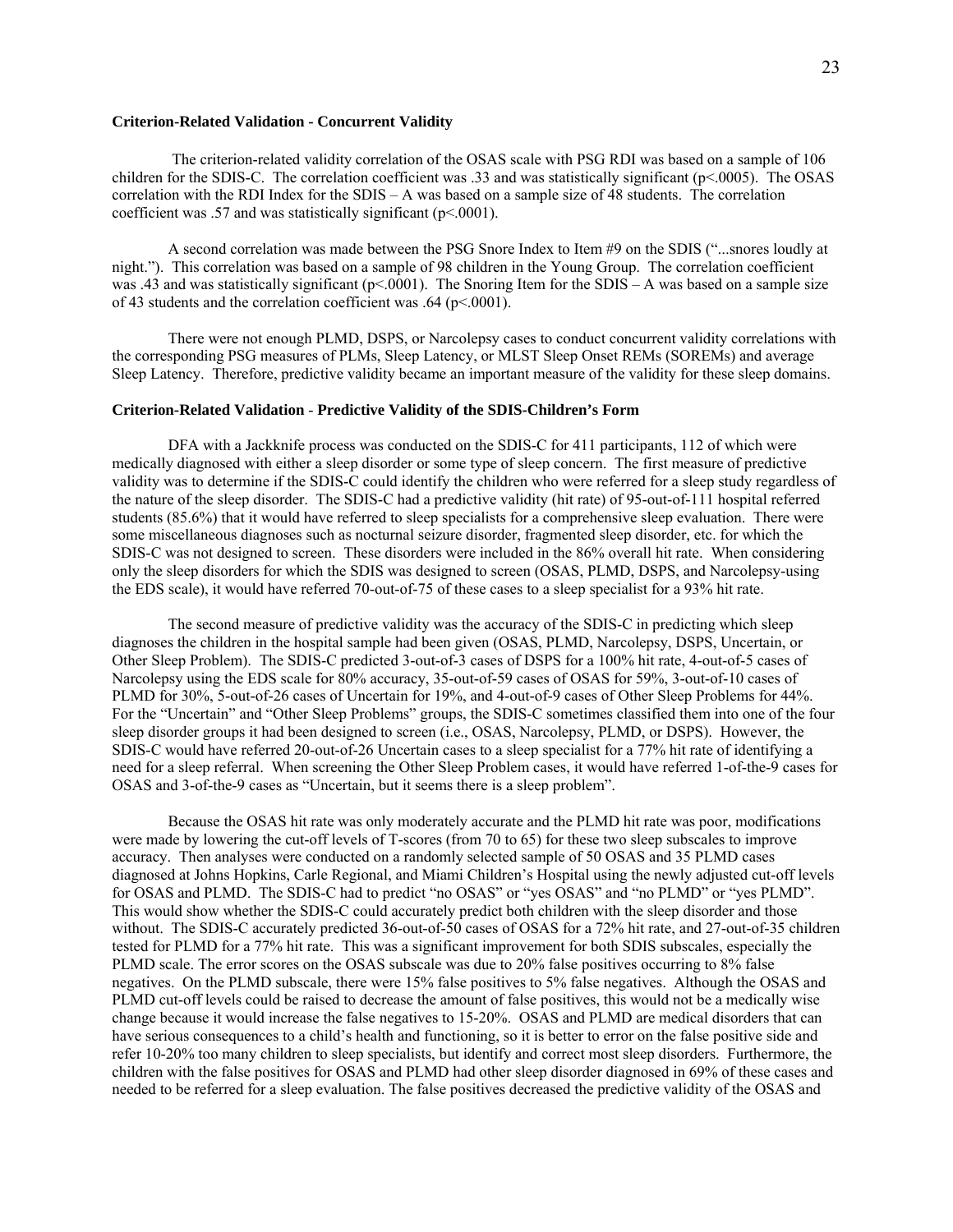## **Criterion-Related Validation - Concurrent Validity**

 The criterion-related validity correlation of the OSAS scale with PSG RDI was based on a sample of 106 children for the SDIS-C. The correlation coefficient was .33 and was statistically significant (p<.0005). The OSAS correlation with the RDI Index for the SDIS – A was based on a sample size of 48 students. The correlation coefficient was .57 and was statistically significant (p<.0001).

 A second correlation was made between the PSG Snore Index to Item #9 on the SDIS ("...snores loudly at night."). This correlation was based on a sample of 98 children in the Young Group. The correlation coefficient was .43 and was statistically significant ( $p$ <.0001). The Snoring Item for the SDIS – A was based on a sample size of 43 students and the correlation coefficient was  $.64$  (p<.0001).

 There were not enough PLMD, DSPS, or Narcolepsy cases to conduct concurrent validity correlations with the corresponding PSG measures of PLMs, Sleep Latency, or MLST Sleep Onset REMs (SOREMs) and average Sleep Latency. Therefore, predictive validity became an important measure of the validity for these sleep domains.

#### **Criterion-Related Validation** - **Predictive Validity of the SDIS-Children's Form**

 DFA with a Jackknife process was conducted on the SDIS-C for 411 participants, 112 of which were medically diagnosed with either a sleep disorder or some type of sleep concern. The first measure of predictive validity was to determine if the SDIS-C could identify the children who were referred for a sleep study regardless of the nature of the sleep disorder. The SDIS-C had a predictive validity (hit rate) of 95-out-of-111 hospital referred students (85.6%) that it would have referred to sleep specialists for a comprehensive sleep evaluation. There were some miscellaneous diagnoses such as nocturnal seizure disorder, fragmented sleep disorder, etc. for which the SDIS-C was not designed to screen. These disorders were included in the 86% overall hit rate. When considering only the sleep disorders for which the SDIS was designed to screen (OSAS, PLMD, DSPS, and Narcolepsy-using the EDS scale), it would have referred 70-out-of-75 of these cases to a sleep specialist for a 93% hit rate.

 The second measure of predictive validity was the accuracy of the SDIS-C in predicting which sleep diagnoses the children in the hospital sample had been given (OSAS, PLMD, Narcolepsy, DSPS, Uncertain, or Other Sleep Problem). The SDIS-C predicted 3-out-of-3 cases of DSPS for a 100% hit rate, 4-out-of-5 cases of Narcolepsy using the EDS scale for 80% accuracy, 35-out-of-59 cases of OSAS for 59%, 3-out-of-10 cases of PLMD for 30%, 5-out-of-26 cases of Uncertain for 19%, and 4-out-of-9 cases of Other Sleep Problems for 44%. For the "Uncertain" and "Other Sleep Problems" groups, the SDIS-C sometimes classified them into one of the four sleep disorder groups it had been designed to screen (i.e., OSAS, Narcolepsy, PLMD, or DSPS). However, the SDIS-C would have referred 20-out-of-26 Uncertain cases to a sleep specialist for a 77% hit rate of identifying a need for a sleep referral. When screening the Other Sleep Problem cases, it would have referred 1-of-the-9 cases for OSAS and 3-of-the-9 cases as "Uncertain, but it seems there is a sleep problem".

 Because the OSAS hit rate was only moderately accurate and the PLMD hit rate was poor, modifications were made by lowering the cut-off levels of T-scores (from 70 to 65) for these two sleep subscales to improve accuracy. Then analyses were conducted on a randomly selected sample of 50 OSAS and 35 PLMD cases diagnosed at Johns Hopkins, Carle Regional, and Miami Children's Hospital using the newly adjusted cut-off levels for OSAS and PLMD. The SDIS-C had to predict "no OSAS" or "yes OSAS" and "no PLMD" or "yes PLMD". This would show whether the SDIS-C could accurately predict both children with the sleep disorder and those without. The SDIS-C accurately predicted 36-out-of-50 cases of OSAS for a 72% hit rate, and 27-out-of-35 children tested for PLMD for a 77% hit rate. This was a significant improvement for both SDIS subscales, especially the PLMD scale. The error scores on the OSAS subscale was due to 20% false positives occurring to 8% false negatives. On the PLMD subscale, there were 15% false positives to 5% false negatives. Although the OSAS and PLMD cut-off levels could be raised to decrease the amount of false positives, this would not be a medically wise change because it would increase the false negatives to 15-20%. OSAS and PLMD are medical disorders that can have serious consequences to a child's health and functioning, so it is better to error on the false positive side and refer 10-20% too many children to sleep specialists, but identify and correct most sleep disorders. Furthermore, the children with the false positives for OSAS and PLMD had other sleep disorder diagnosed in 69% of these cases and needed to be referred for a sleep evaluation. The false positives decreased the predictive validity of the OSAS and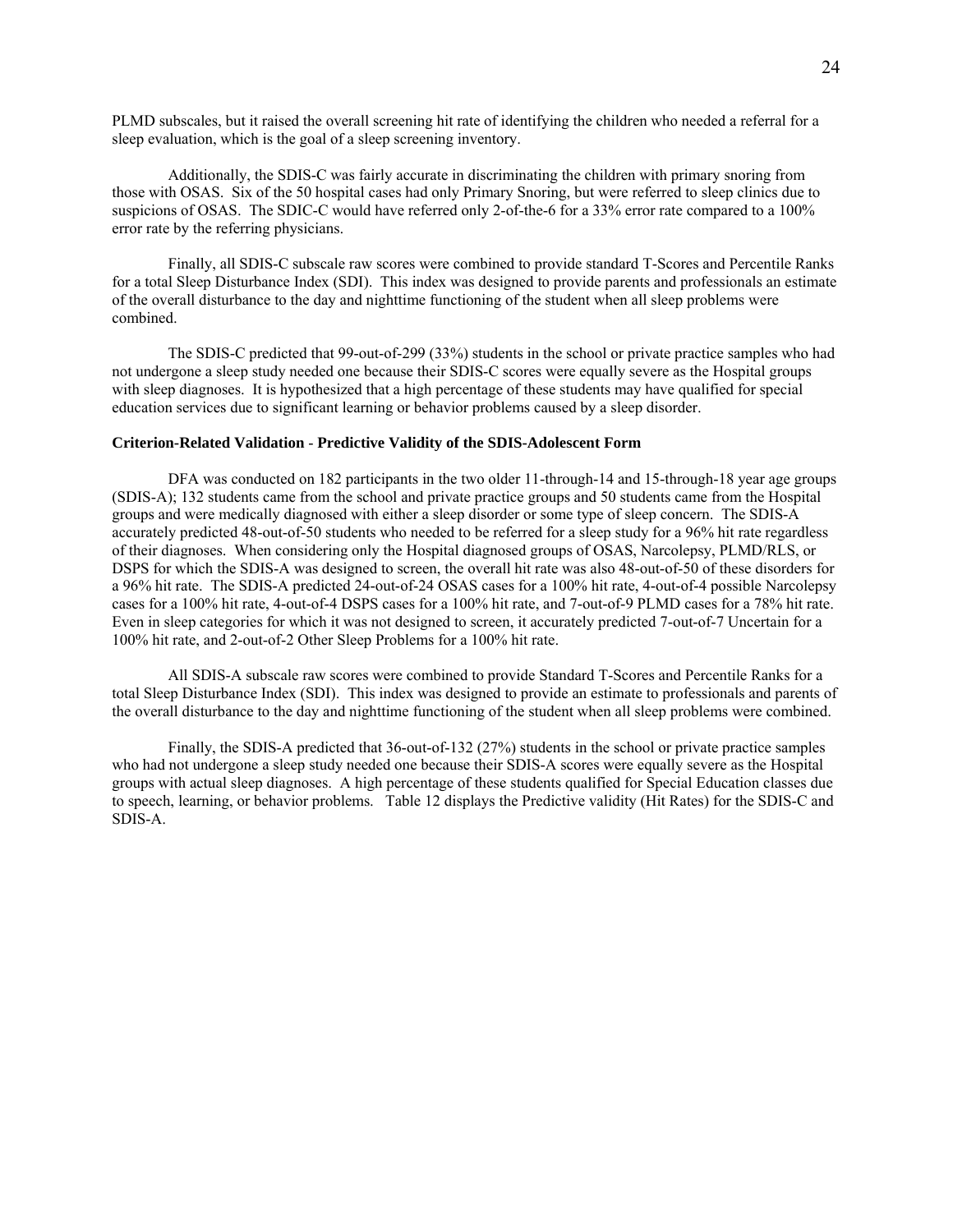PLMD subscales, but it raised the overall screening hit rate of identifying the children who needed a referral for a sleep evaluation, which is the goal of a sleep screening inventory.

 Additionally, the SDIS-C was fairly accurate in discriminating the children with primary snoring from those with OSAS. Six of the 50 hospital cases had only Primary Snoring, but were referred to sleep clinics due to suspicions of OSAS. The SDIC-C would have referred only 2-of-the-6 for a 33% error rate compared to a 100% error rate by the referring physicians.

 Finally, all SDIS-C subscale raw scores were combined to provide standard T-Scores and Percentile Ranks for a total Sleep Disturbance Index (SDI). This index was designed to provide parents and professionals an estimate of the overall disturbance to the day and nighttime functioning of the student when all sleep problems were combined.

 The SDIS-C predicted that 99-out-of-299 (33%) students in the school or private practice samples who had not undergone a sleep study needed one because their SDIS-C scores were equally severe as the Hospital groups with sleep diagnoses. It is hypothesized that a high percentage of these students may have qualified for special education services due to significant learning or behavior problems caused by a sleep disorder.

#### **Criterion-Related Validation** - **Predictive Validity of the SDIS-Adolescent Form**

 DFA was conducted on 182 participants in the two older 11-through-14 and 15-through-18 year age groups (SDIS-A); 132 students came from the school and private practice groups and 50 students came from the Hospital groups and were medically diagnosed with either a sleep disorder or some type of sleep concern. The SDIS-A accurately predicted 48-out-of-50 students who needed to be referred for a sleep study for a 96% hit rate regardless of their diagnoses. When considering only the Hospital diagnosed groups of OSAS, Narcolepsy, PLMD/RLS, or DSPS for which the SDIS-A was designed to screen, the overall hit rate was also 48-out-of-50 of these disorders for a 96% hit rate. The SDIS-A predicted 24-out-of-24 OSAS cases for a 100% hit rate, 4-out-of-4 possible Narcolepsy cases for a 100% hit rate, 4-out-of-4 DSPS cases for a 100% hit rate, and 7-out-of-9 PLMD cases for a 78% hit rate. Even in sleep categories for which it was not designed to screen, it accurately predicted 7-out-of-7 Uncertain for a 100% hit rate, and 2-out-of-2 Other Sleep Problems for a 100% hit rate.

 All SDIS-A subscale raw scores were combined to provide Standard T-Scores and Percentile Ranks for a total Sleep Disturbance Index (SDI). This index was designed to provide an estimate to professionals and parents of the overall disturbance to the day and nighttime functioning of the student when all sleep problems were combined.

 Finally, the SDIS-A predicted that 36-out-of-132 (27%) students in the school or private practice samples who had not undergone a sleep study needed one because their SDIS-A scores were equally severe as the Hospital groups with actual sleep diagnoses. A high percentage of these students qualified for Special Education classes due to speech, learning, or behavior problems. Table 12 displays the Predictive validity (Hit Rates) for the SDIS-C and SDIS-A.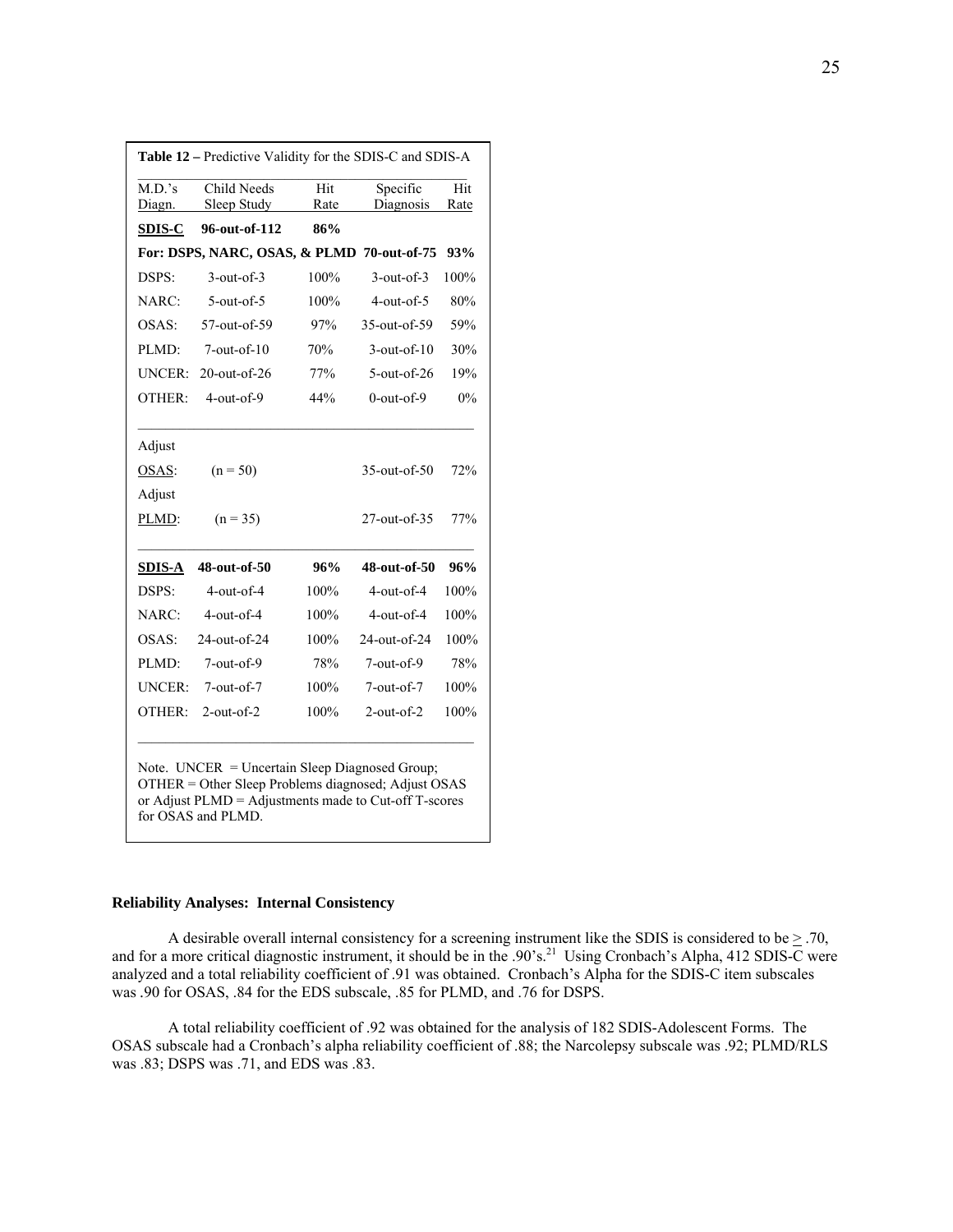| Child Needs       | Hit  | Specific           | Hit                                        |
|-------------------|------|--------------------|--------------------------------------------|
| Sleep Study       | Rate | Diagnosis          | Rate                                       |
| 96-out-of-112     | 86%  |                    |                                            |
|                   |      |                    | 93%                                        |
| $3$ -out-of- $3$  | 100% | $3$ -out-of- $3$   | 100%                                       |
| $5$ -out-of- $5$  | 100% | $4$ -out-of-5      | 80%                                        |
| 57-out-of-59      | 97%  | 35-out-of-59       | 59%                                        |
| $7$ -out-of- $10$ | 70%  | $3$ -out-of- $10$  | 30%                                        |
| $20$ -out-of-26   | 77%  | $5$ -out-of-26     | 19%                                        |
| $4$ -out-of-9     | 44%  | $0$ -out-of-9      | 0%                                         |
|                   |      |                    |                                            |
| $(n = 50)$        |      | $35$ -out-of- $50$ | 72%                                        |
|                   |      |                    |                                            |
| $(n = 35)$        |      | $27$ -out-of-35    | 77%                                        |
| 48-out-of-50      | 96%  | 48-out-of-50       | 96%                                        |
| $4$ -out-of- $4$  | 100% | $4$ -out-of-4      | 100%                                       |
| $4$ -out-of- $4$  | 100% | $4$ -out-of-4      | 100%                                       |
| 24-out-of-24      | 100% | 24-out-of-24       | 100%                                       |
| $7$ -out-of-9     | 78%  | $7$ -out-of-9      | 78%                                        |
| $7$ -out-of- $7$  | 100% | $7$ -out-of- $7$   | 100%                                       |
|                   |      |                    |                                            |
|                   |      |                    | For: DSPS, NARC, OSAS, & PLMD 70-out-of-75 |

or Adjust PLMD = Adjustments made to Cut-off T-scores for OSAS and PLMD.

## **Reliability Analyses: Internal Consistency**

A desirable overall internal consistency for a screening instrument like the SDIS is considered to be  $\geq$  .70, and for a more critical diagnostic instrument, it should be in the .90's.<sup>21</sup> Using Cronbach's Alpha, 412 SDIS-C were analyzed and a total reliability coefficient of .91 was obtained. Cronbach's Alpha for the SDIS-C item subscales was *.*90 for OSAS, .84 for the EDS subscale, .85 for PLMD, and .76 for DSPS.

 A total reliability coefficient of .92 was obtained for the analysis of 182 SDIS-Adolescent Forms. The OSAS subscale had a Cronbach's alpha reliability coefficient of .88; the Narcolepsy subscale was .92; PLMD/RLS was .83; DSPS was .71, and EDS was .83.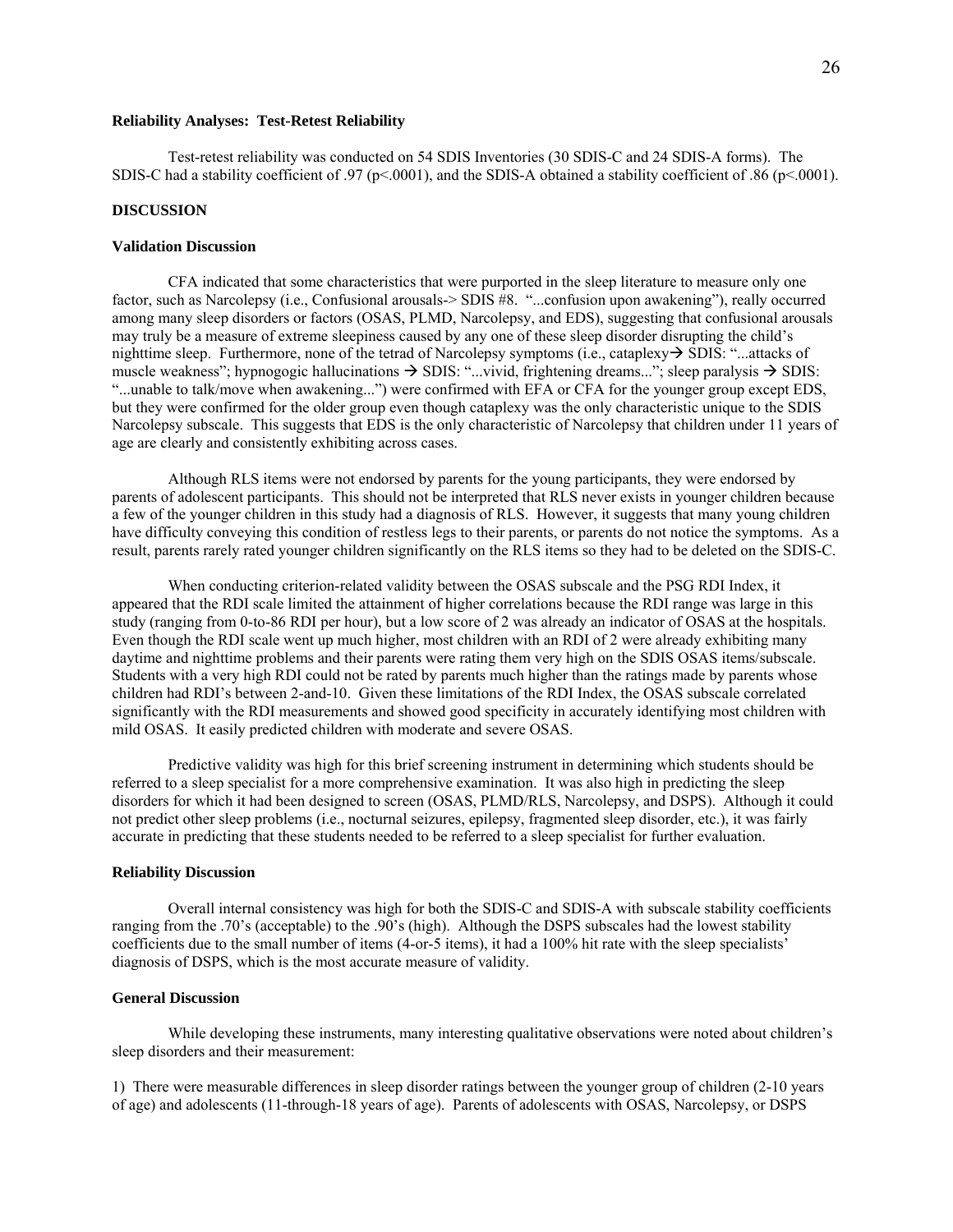## **Reliability Analyses: Test-Retest Reliability**

 Test-retest reliability was conducted on 54 SDIS Inventories (30 SDIS-C and 24 SDIS-A forms). The SDIS-C had a stability coefficient of .97 ( $p$ <.0001), and the SDIS-A obtained a stability coefficient of .86 ( $p$ <.0001).

## **DISCUSSION**

## **Validation Discussion**

 CFA indicated that some characteristics that were purported in the sleep literature to measure only one factor, such as Narcolepsy (i.e., Confusional arousals-> SDIS #8. "...confusion upon awakening"), really occurred among many sleep disorders or factors (OSAS, PLMD, Narcolepsy, and EDS), suggesting that confusional arousals may truly be a measure of extreme sleepiness caused by any one of these sleep disorder disrupting the child's nighttime sleep. Furthermore, none of the tetrad of Narcolepsy symptoms (i.e., cataplexy $\rightarrow$  SDIS: "...attacks of muscle weakness"; hypnogogic hallucinations  $\rightarrow$  SDIS: "...vivid, frightening dreams..."; sleep paralysis  $\rightarrow$  SDIS: "...unable to talk/move when awakening...") were confirmed with EFA or CFA for the younger group except EDS, but they were confirmed for the older group even though cataplexy was the only characteristic unique to the SDIS Narcolepsy subscale. This suggests that EDS is the only characteristic of Narcolepsy that children under 11 years of age are clearly and consistently exhibiting across cases.

 Although RLS items were not endorsed by parents for the young participants, they were endorsed by parents of adolescent participants. This should not be interpreted that RLS never exists in younger children because a few of the younger children in this study had a diagnosis of RLS. However, it suggests that many young children have difficulty conveying this condition of restless legs to their parents, or parents do not notice the symptoms. As a result, parents rarely rated younger children significantly on the RLS items so they had to be deleted on the SDIS-C.

 When conducting criterion-related validity between the OSAS subscale and the PSG RDI Index, it appeared that the RDI scale limited the attainment of higher correlations because the RDI range was large in this study (ranging from 0-to-86 RDI per hour), but a low score of 2 was already an indicator of OSAS at the hospitals. Even though the RDI scale went up much higher, most children with an RDI of 2 were already exhibiting many daytime and nighttime problems and their parents were rating them very high on the SDIS OSAS items/subscale. Students with a very high RDI could not be rated by parents much higher than the ratings made by parents whose children had RDI's between 2-and-10. Given these limitations of the RDI Index, the OSAS subscale correlated significantly with the RDI measurements and showed good specificity in accurately identifying most children with mild OSAS. It easily predicted children with moderate and severe OSAS.

 Predictive validity was high for this brief screening instrument in determining which students should be referred to a sleep specialist for a more comprehensive examination. It was also high in predicting the sleep disorders for which it had been designed to screen (OSAS, PLMD/RLS, Narcolepsy, and DSPS). Although it could not predict other sleep problems (i.e., nocturnal seizures, epilepsy, fragmented sleep disorder, etc.), it was fairly accurate in predicting that these students needed to be referred to a sleep specialist for further evaluation.

#### **Reliability Discussion**

 Overall internal consistency was high for both the SDIS-C and SDIS-A with subscale stability coefficients ranging from the .70's (acceptable) to the .90's (high). Although the DSPS subscales had the lowest stability coefficients due to the small number of items (4-or-5 items), it had a 100% hit rate with the sleep specialists' diagnosis of DSPS, which is the most accurate measure of validity.

#### **General Discussion**

While developing these instruments, many interesting qualitative observations were noted about children's sleep disorders and their measurement:

1) There were measurable differences in sleep disorder ratings between the younger group of children (2-10 years of age) and adolescents (11-through-18 years of age). Parents of adolescents with OSAS, Narcolepsy, or DSPS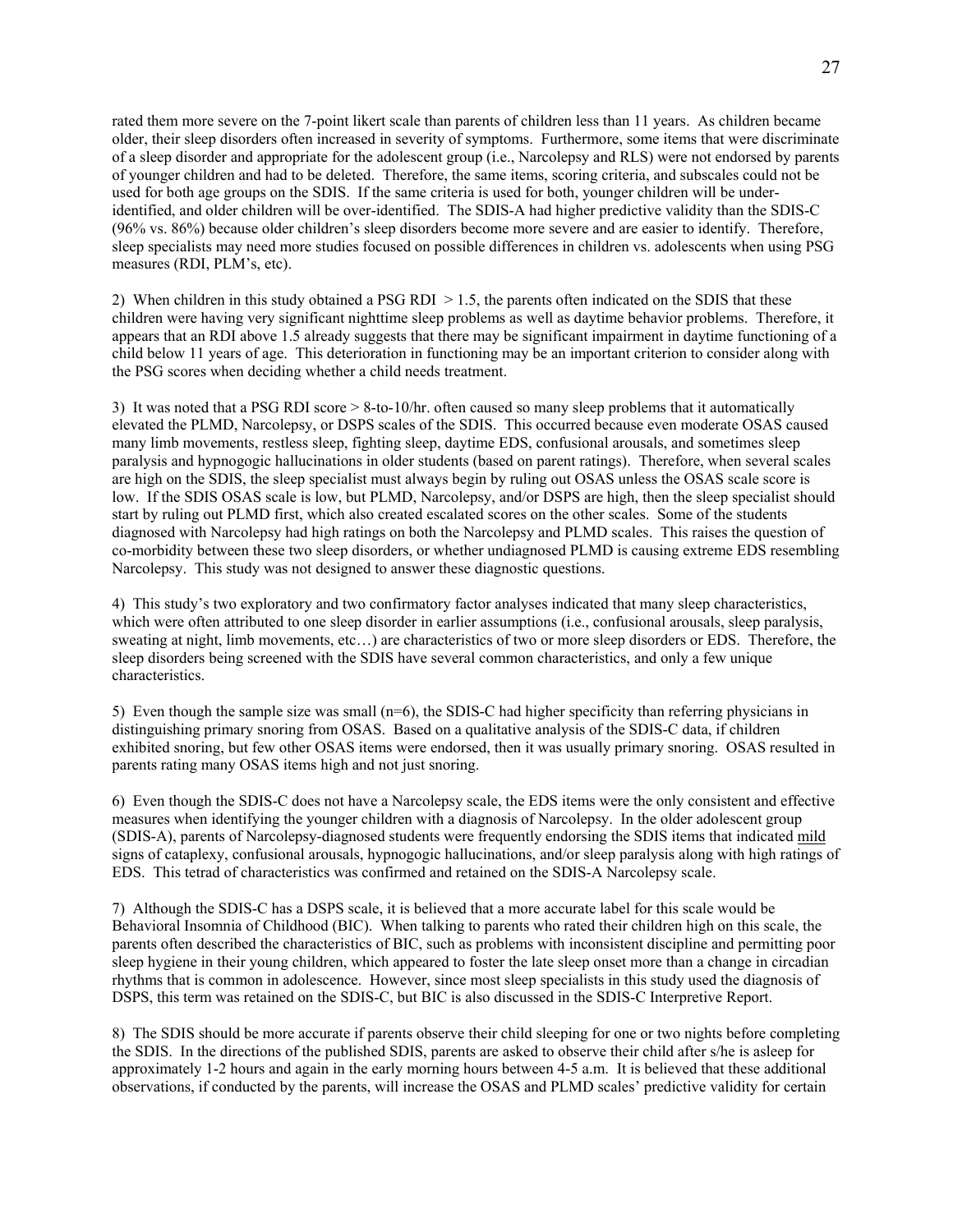rated them more severe on the 7-point likert scale than parents of children less than 11 years. As children became older, their sleep disorders often increased in severity of symptoms. Furthermore, some items that were discriminate of a sleep disorder and appropriate for the adolescent group (i.e., Narcolepsy and RLS) were not endorsed by parents of younger children and had to be deleted. Therefore, the same items, scoring criteria, and subscales could not be used for both age groups on the SDIS. If the same criteria is used for both, younger children will be underidentified, and older children will be over-identified. The SDIS-A had higher predictive validity than the SDIS-C (96% vs. 86%) because older children's sleep disorders become more severe and are easier to identify. Therefore, sleep specialists may need more studies focused on possible differences in children vs. adolescents when using PSG measures (RDI, PLM's, etc).

2) When children in this study obtained a PSG RDI > 1.5, the parents often indicated on the SDIS that these children were having very significant nighttime sleep problems as well as daytime behavior problems. Therefore, it appears that an RDI above 1.5 already suggests that there may be significant impairment in daytime functioning of a child below 11 years of age. This deterioration in functioning may be an important criterion to consider along with the PSG scores when deciding whether a child needs treatment.

3) It was noted that a PSG RDI score > 8-to-10/hr. often caused so many sleep problems that it automatically elevated the PLMD, Narcolepsy, or DSPS scales of the SDIS. This occurred because even moderate OSAS caused many limb movements, restless sleep, fighting sleep, daytime EDS, confusional arousals, and sometimes sleep paralysis and hypnogogic hallucinations in older students (based on parent ratings). Therefore, when several scales are high on the SDIS, the sleep specialist must always begin by ruling out OSAS unless the OSAS scale score is low. If the SDIS OSAS scale is low, but PLMD, Narcolepsy, and/or DSPS are high, then the sleep specialist should start by ruling out PLMD first, which also created escalated scores on the other scales. Some of the students diagnosed with Narcolepsy had high ratings on both the Narcolepsy and PLMD scales. This raises the question of co-morbidity between these two sleep disorders, or whether undiagnosed PLMD is causing extreme EDS resembling Narcolepsy. This study was not designed to answer these diagnostic questions.

4) This study's two exploratory and two confirmatory factor analyses indicated that many sleep characteristics, which were often attributed to one sleep disorder in earlier assumptions (i.e., confusional arousals, sleep paralysis, sweating at night, limb movements, etc...) are characteristics of two or more sleep disorders or EDS. Therefore, the sleep disorders being screened with the SDIS have several common characteristics, and only a few unique characteristics.

5) Even though the sample size was small (n=6), the SDIS-C had higher specificity than referring physicians in distinguishing primary snoring from OSAS. Based on a qualitative analysis of the SDIS-C data, if children exhibited snoring, but few other OSAS items were endorsed, then it was usually primary snoring. OSAS resulted in parents rating many OSAS items high and not just snoring.

6) Even though the SDIS-C does not have a Narcolepsy scale, the EDS items were the only consistent and effective measures when identifying the younger children with a diagnosis of Narcolepsy. In the older adolescent group (SDIS-A), parents of Narcolepsy-diagnosed students were frequently endorsing the SDIS items that indicated mild signs of cataplexy, confusional arousals, hypnogogic hallucinations, and/or sleep paralysis along with high ratings of EDS. This tetrad of characteristics was confirmed and retained on the SDIS-A Narcolepsy scale.

7) Although the SDIS-C has a DSPS scale, it is believed that a more accurate label for this scale would be Behavioral Insomnia of Childhood (BIC). When talking to parents who rated their children high on this scale, the parents often described the characteristics of BIC, such as problems with inconsistent discipline and permitting poor sleep hygiene in their young children, which appeared to foster the late sleep onset more than a change in circadian rhythms that is common in adolescence. However, since most sleep specialists in this study used the diagnosis of DSPS, this term was retained on the SDIS-C, but BIC is also discussed in the SDIS-C Interpretive Report.

8) The SDIS should be more accurate if parents observe their child sleeping for one or two nights before completing the SDIS. In the directions of the published SDIS, parents are asked to observe their child after s/he is asleep for approximately 1-2 hours and again in the early morning hours between 4-5 a.m. It is believed that these additional observations, if conducted by the parents, will increase the OSAS and PLMD scales' predictive validity for certain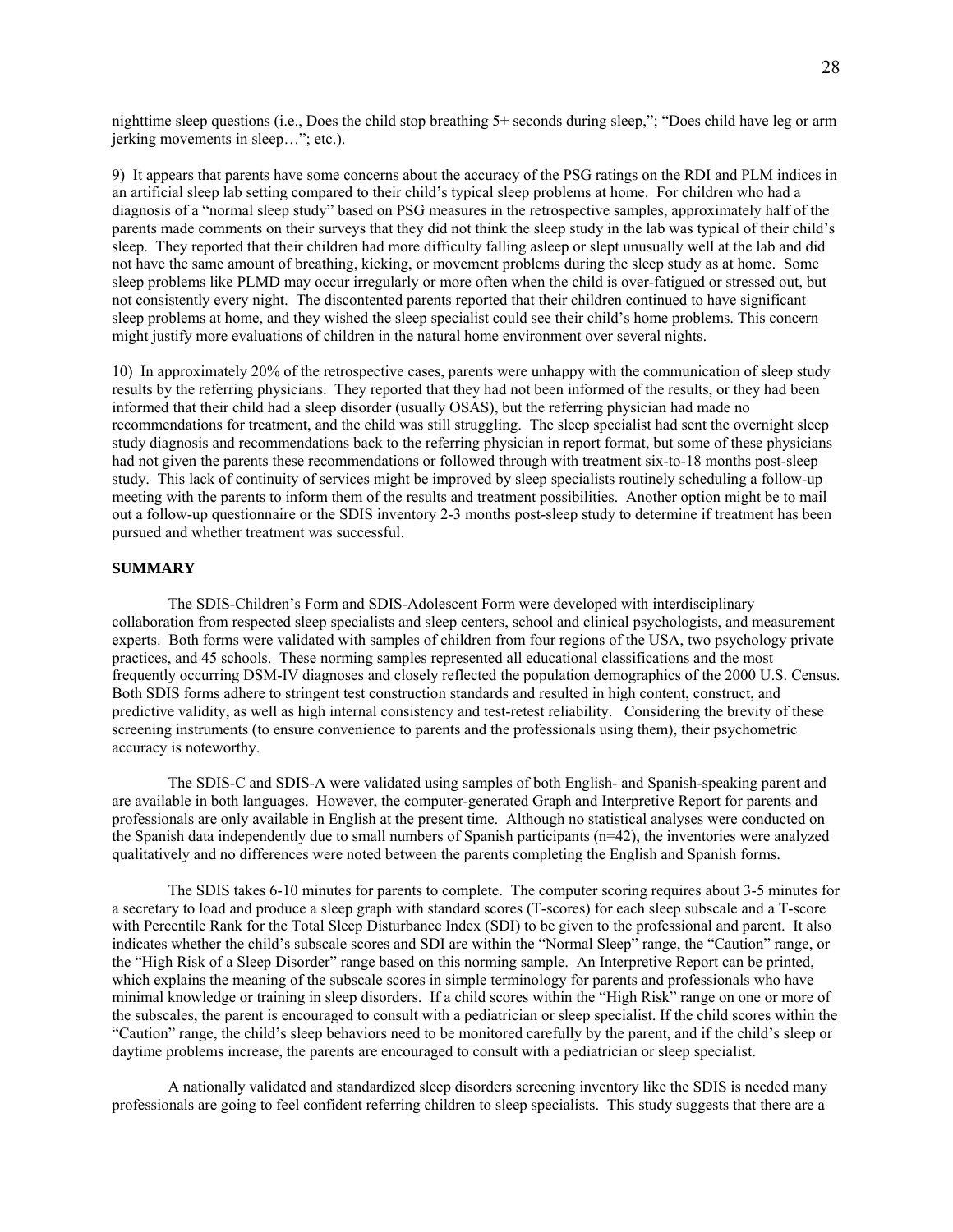nighttime sleep questions (i.e., Does the child stop breathing 5+ seconds during sleep,"; "Does child have leg or arm jerking movements in sleep…"; etc.).

9) It appears that parents have some concerns about the accuracy of the PSG ratings on the RDI and PLM indices in an artificial sleep lab setting compared to their child's typical sleep problems at home. For children who had a diagnosis of a "normal sleep study" based on PSG measures in the retrospective samples, approximately half of the parents made comments on their surveys that they did not think the sleep study in the lab was typical of their child's sleep. They reported that their children had more difficulty falling asleep or slept unusually well at the lab and did not have the same amount of breathing, kicking, or movement problems during the sleep study as at home. Some sleep problems like PLMD may occur irregularly or more often when the child is over-fatigued or stressed out, but not consistently every night. The discontented parents reported that their children continued to have significant sleep problems at home, and they wished the sleep specialist could see their child's home problems. This concern might justify more evaluations of children in the natural home environment over several nights.

10) In approximately 20% of the retrospective cases, parents were unhappy with the communication of sleep study results by the referring physicians. They reported that they had not been informed of the results, or they had been informed that their child had a sleep disorder (usually OSAS), but the referring physician had made no recommendations for treatment, and the child was still struggling. The sleep specialist had sent the overnight sleep study diagnosis and recommendations back to the referring physician in report format, but some of these physicians had not given the parents these recommendations or followed through with treatment six-to-18 months post-sleep study. This lack of continuity of services might be improved by sleep specialists routinely scheduling a follow-up meeting with the parents to inform them of the results and treatment possibilities. Another option might be to mail out a follow-up questionnaire or the SDIS inventory 2-3 months post-sleep study to determine if treatment has been pursued and whether treatment was successful.

## **SUMMARY**

 The SDIS-Children's Form and SDIS-Adolescent Form were developed with interdisciplinary collaboration from respected sleep specialists and sleep centers, school and clinical psychologists, and measurement experts. Both forms were validated with samples of children from four regions of the USA, two psychology private practices, and 45 schools. These norming samples represented all educational classifications and the most frequently occurring DSM-IV diagnoses and closely reflected the population demographics of the 2000 U.S. Census. Both SDIS forms adhere to stringent test construction standards and resulted in high content, construct, and predictive validity, as well as high internal consistency and test-retest reliability. Considering the brevity of these screening instruments (to ensure convenience to parents and the professionals using them), their psychometric accuracy is noteworthy.

 The SDIS-C and SDIS-A were validated using samples of both English- and Spanish-speaking parent and are available in both languages. However, the computer-generated Graph and Interpretive Report for parents and professionals are only available in English at the present time. Although no statistical analyses were conducted on the Spanish data independently due to small numbers of Spanish participants (n=42), the inventories were analyzed qualitatively and no differences were noted between the parents completing the English and Spanish forms.

 The SDIS takes 6-10 minutes for parents to complete. The computer scoring requires about 3-5 minutes for a secretary to load and produce a sleep graph with standard scores (T-scores) for each sleep subscale and a T-score with Percentile Rank for the Total Sleep Disturbance Index (SDI) to be given to the professional and parent. It also indicates whether the child's subscale scores and SDI are within the "Normal Sleep" range, the "Caution" range, or the "High Risk of a Sleep Disorder" range based on this norming sample. An Interpretive Report can be printed, which explains the meaning of the subscale scores in simple terminology for parents and professionals who have minimal knowledge or training in sleep disorders. If a child scores within the "High Risk" range on one or more of the subscales, the parent is encouraged to consult with a pediatrician or sleep specialist. If the child scores within the "Caution" range, the child's sleep behaviors need to be monitored carefully by the parent, and if the child's sleep or daytime problems increase, the parents are encouraged to consult with a pediatrician or sleep specialist.

 A nationally validated and standardized sleep disorders screening inventory like the SDIS is needed many professionals are going to feel confident referring children to sleep specialists. This study suggests that there are a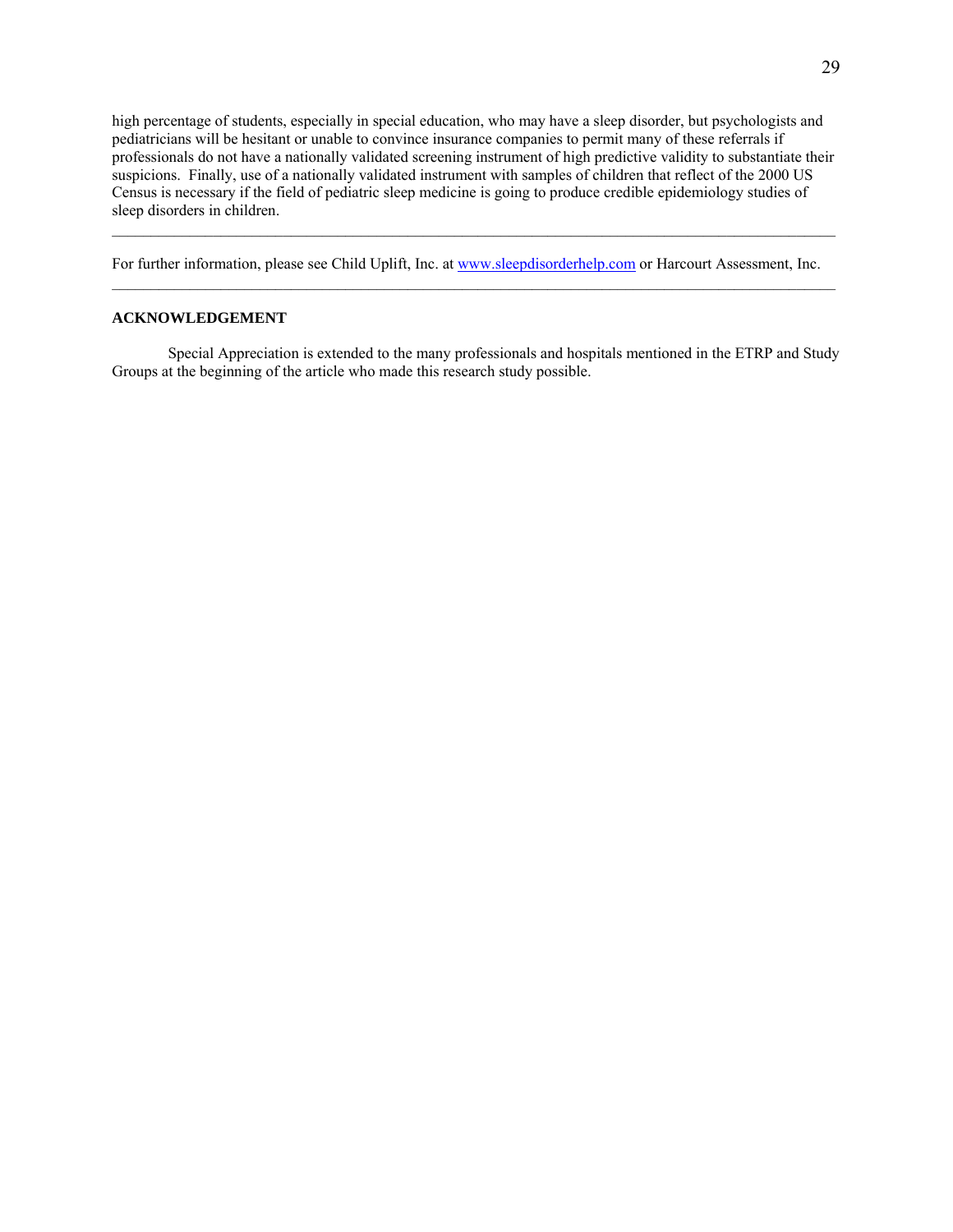high percentage of students, especially in special education, who may have a sleep disorder, but psychologists and pediatricians will be hesitant or unable to convince insurance companies to permit many of these referrals if professionals do not have a nationally validated screening instrument of high predictive validity to substantiate their suspicions. Finally, use of a nationally validated instrument with samples of children that reflect of the 2000 US Census is necessary if the field of pediatric sleep medicine is going to produce credible epidemiology studies of sleep disorders in children.

 $\mathcal{L}_\mathcal{L} = \{ \mathcal{L}_\mathcal{L} = \{ \mathcal{L}_\mathcal{L} = \{ \mathcal{L}_\mathcal{L} = \{ \mathcal{L}_\mathcal{L} = \{ \mathcal{L}_\mathcal{L} = \{ \mathcal{L}_\mathcal{L} = \{ \mathcal{L}_\mathcal{L} = \{ \mathcal{L}_\mathcal{L} = \{ \mathcal{L}_\mathcal{L} = \{ \mathcal{L}_\mathcal{L} = \{ \mathcal{L}_\mathcal{L} = \{ \mathcal{L}_\mathcal{L} = \{ \mathcal{L}_\mathcal{L} = \{ \mathcal{L}_\mathcal{$ 

For further information, please see Child Uplift, Inc. at www.sleepdisorderhelp.com or Harcourt Assessment, Inc.  $\mathcal{L}_\mathcal{L} = \{ \mathcal{L}_\mathcal{L} = \{ \mathcal{L}_\mathcal{L} = \{ \mathcal{L}_\mathcal{L} = \{ \mathcal{L}_\mathcal{L} = \{ \mathcal{L}_\mathcal{L} = \{ \mathcal{L}_\mathcal{L} = \{ \mathcal{L}_\mathcal{L} = \{ \mathcal{L}_\mathcal{L} = \{ \mathcal{L}_\mathcal{L} = \{ \mathcal{L}_\mathcal{L} = \{ \mathcal{L}_\mathcal{L} = \{ \mathcal{L}_\mathcal{L} = \{ \mathcal{L}_\mathcal{L} = \{ \mathcal{L}_\mathcal{$ 

# **ACKNOWLEDGEMENT**

 Special Appreciation is extended to the many professionals and hospitals mentioned in the ETRP and Study Groups at the beginning of the article who made this research study possible.